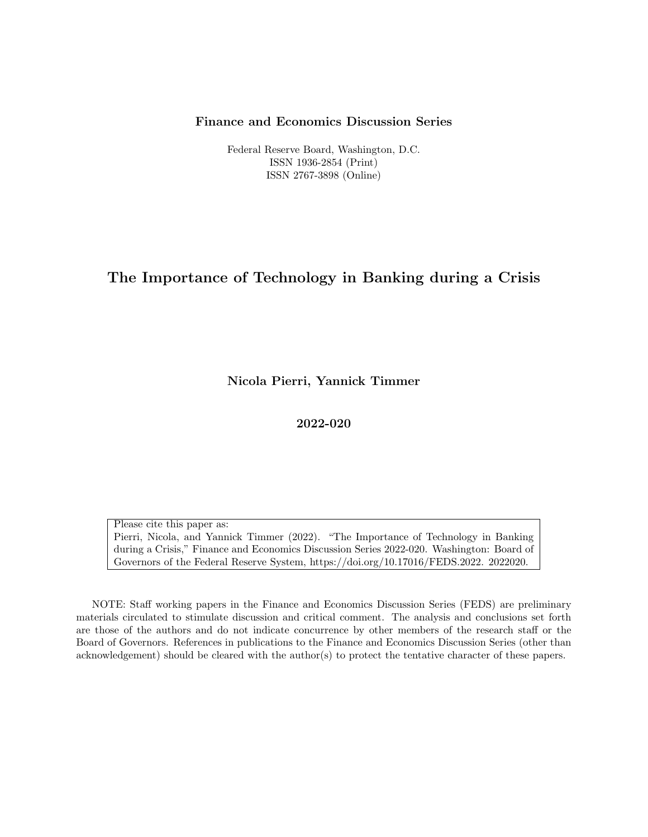## Finance and Economics Discussion Series

Federal Reserve Board, Washington, D.C. ISSN 1936-2854 (Print) ISSN 2767-3898 (Online)

# The Importance of Technology in Banking during a Crisis

Nicola Pierri, Yannick Timmer

2022-020

Please cite this paper as: Pierri, Nicola, and Yannick Timmer (2022). "The Importance of Technology in Banking during a Crisis," Finance and Economics Discussion Series 2022-020. Washington: Board of Governors of the Federal Reserve System, https://doi.org/10.17016/FEDS.2022. 2022020.

NOTE: Staff working papers in the Finance and Economics Discussion Series (FEDS) are preliminary materials circulated to stimulate discussion and critical comment. The analysis and conclusions set forth are those of the authors and do not indicate concurrence by other members of the research staff or the Board of Governors. References in publications to the Finance and Economics Discussion Series (other than acknowledgement) should be cleared with the author(s) to protect the tentative character of these papers.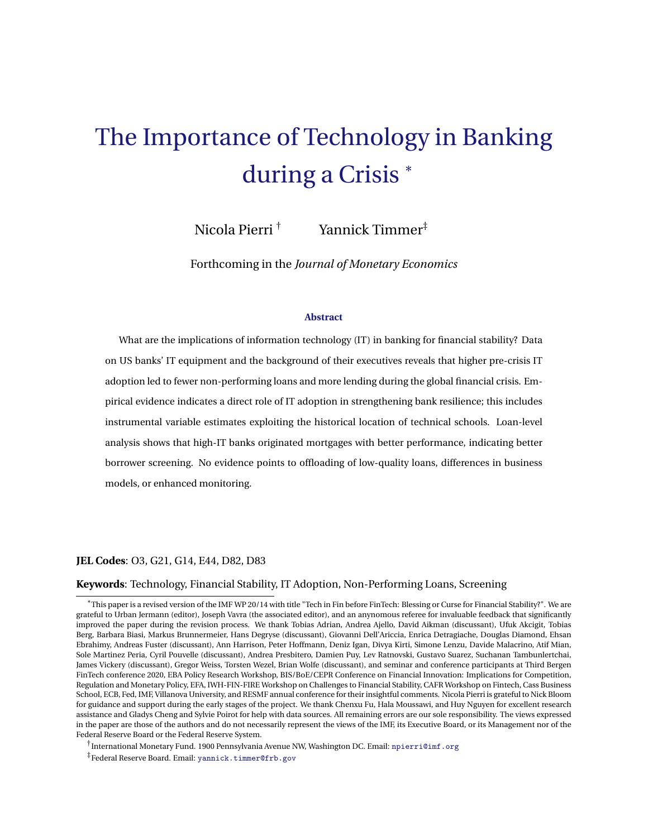# The Importance of Technology in Banking during a Crisis \*

Nicola Pierri † Yannick Timmer<sup>‡</sup>

Forthcoming in the *Journal of Monetary Economics*

#### **Abstract**

What are the implications of information technology (IT) in banking for financial stability? Data on US banks' IT equipment and the background of their executives reveals that higher pre-crisis IT adoption led to fewer non-performing loans and more lending during the global financial crisis. Empirical evidence indicates a direct role of IT adoption in strengthening bank resilience; this includes instrumental variable estimates exploiting the historical location of technical schools. Loan-level analysis shows that high-IT banks originated mortgages with better performance, indicating better borrower screening. No evidence points to offloading of low-quality loans, differences in business models, or enhanced monitoring.

#### **JEL Codes**: O3, G21, G14, E44, D82, D83

#### **Keywords**: Technology, Financial Stability, IT Adoption, Non-Performing Loans, Screening

\*This paper is a revised version of the IMF WP 20/14 with title "Tech in Fin before FinTech: Blessing or Curse for Financial Stability?". We are grateful to Urban Jermann (editor), Joseph Vavra (the associated editor), and an anynomous referee for invaluable feedback that significantly improved the paper during the revision process. We thank Tobias Adrian, Andrea Ajello, David Aikman (discussant), Ufuk Akcigit, Tobias Berg, Barbara Biasi, Markus Brunnermeier, Hans Degryse (discussant), Giovanni Dell'Ariccia, Enrica Detragiache, Douglas Diamond, Ehsan Ebrahimy, Andreas Fuster (discussant), Ann Harrison, Peter Hoffmann, Deniz Igan, Divya Kirti, Simone Lenzu, Davide Malacrino, Atif Mian, Sole Martinez Peria, Cyril Pouvelle (discussant), Andrea Presbitero, Damien Puy, Lev Ratnovski, Gustavo Suarez, Suchanan Tambunlertchai, James Vickery (discussant), Gregor Weiss, Torsten Wezel, Brian Wolfe (discussant), and seminar and conference participants at Third Bergen FinTech conference 2020, EBA Policy Research Workshop, BIS/BoE/CEPR Conference on Financial Innovation: Implications for Competition, Regulation and Monetary Policy, EFA, IWH-FIN-FIRE Workshop on Challenges to Financial Stability, CAFR Workshop on Fintech, Cass Business School, ECB, Fed, IMF, Villanova University, and RESMF annual conference for their insightful comments. Nicola Pierri is grateful to Nick Bloom for guidance and support during the early stages of the project. We thank Chenxu Fu, Hala Moussawi, and Huy Nguyen for excellent research assistance and Gladys Cheng and Sylvie Poirot for help with data sources. All remaining errors are our sole responsibility. The views expressed in the paper are those of the authors and do not necessarily represent the views of the IMF, its Executive Board, or its Management nor of the Federal Reserve Board or the Federal Reserve System.

† International Monetary Fund. 1900 Pennsylvania Avenue NW, Washington DC. Email: [npierri@imf.org](mailto:npierri@imf.org)

<sup>‡</sup> Federal Reserve Board. Email: [yannick.timmer@frb.gov](mailto:yannick.timmer@frb.gov)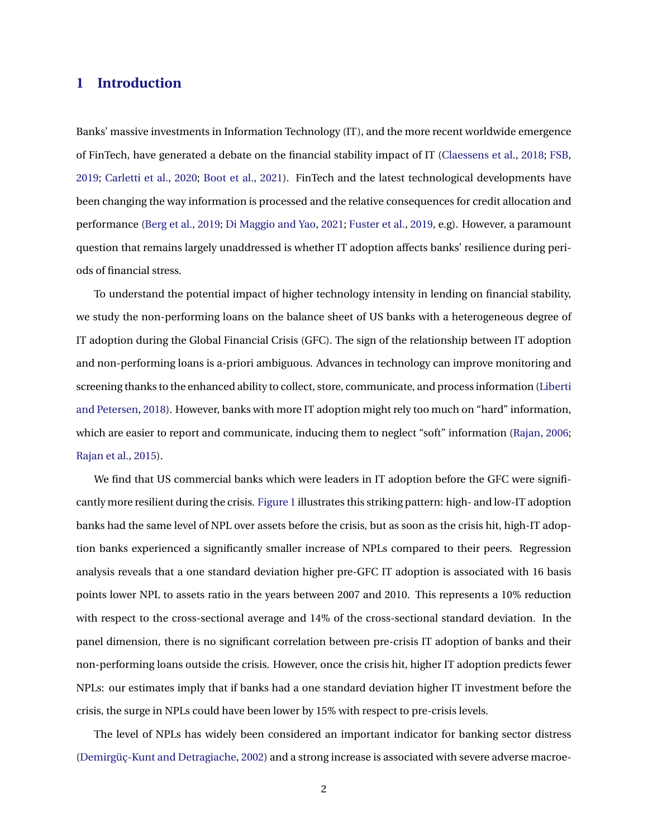# <span id="page-2-0"></span>**1 Introduction**

Banks' massive investments in Information Technology (IT), and the more recent worldwide emergence of FinTech, have generated a debate on the financial stability impact of IT [\(Claessens et al.,](#page-25-0) [2018;](#page-25-0) [FSB,](#page-25-1) [2019;](#page-25-1) [Carletti et al.,](#page-25-2) [2020;](#page-25-2) [Boot et al.,](#page-24-0) [2021\)](#page-24-0). FinTech and the latest technological developments have been changing the way information is processed and the relative consequences for credit allocation and performance [\(Berg et al.,](#page-24-1) [2019;](#page-24-1) [Di Maggio and Yao,](#page-26-0) [2021;](#page-26-0) [Fuster et al.,](#page-25-3) [2019,](#page-25-3) e.g). However, a paramount question that remains largely unaddressed is whether IT adoption affects banks' resilience during periods of financial stress.

To understand the potential impact of higher technology intensity in lending on financial stability, we study the non-performing loans on the balance sheet of US banks with a heterogeneous degree of IT adoption during the Global Financial Crisis (GFC). The sign of the relationship between IT adoption and non-performing loans is a-priori ambiguous. Advances in technology can improve monitoring and screening thanks to the enhanced ability to collect, store, communicate, and process information [\(Liberti](#page-26-1) [and Petersen,](#page-26-1) [2018\)](#page-26-1). However, banks with more IT adoption might rely too much on "hard" information, which are easier to report and communicate, inducing them to neglect "soft" information [\(Rajan,](#page-26-2) [2006;](#page-26-2) [Rajan et al.,](#page-26-3) [2015\)](#page-26-3).

We find that US commercial banks which were leaders in IT adoption before the GFC were significantly more resilient during the crisis. [Figure 1](#page-27-0) illustrates this striking pattern: high- and low-IT adoption banks had the same level of NPL over assets before the crisis, but as soon as the crisis hit, high-IT adoption banks experienced a significantly smaller increase of NPLs compared to their peers. Regression analysis reveals that a one standard deviation higher pre-GFC IT adoption is associated with 16 basis points lower NPL to assets ratio in the years between 2007 and 2010. This represents a 10% reduction with respect to the cross-sectional average and 14% of the cross-sectional standard deviation. In the panel dimension, there is no significant correlation between pre-crisis IT adoption of banks and their non-performing loans outside the crisis. However, once the crisis hit, higher IT adoption predicts fewer NPLs: our estimates imply that if banks had a one standard deviation higher IT investment before the crisis, the surge in NPLs could have been lower by 15% with respect to pre-crisis levels.

The level of NPLs has widely been considered an important indicator for banking sector distress [\(Demirgüç-Kunt and Detragiache,](#page-25-4) [2002\)](#page-25-4) and a strong increase is associated with severe adverse macroe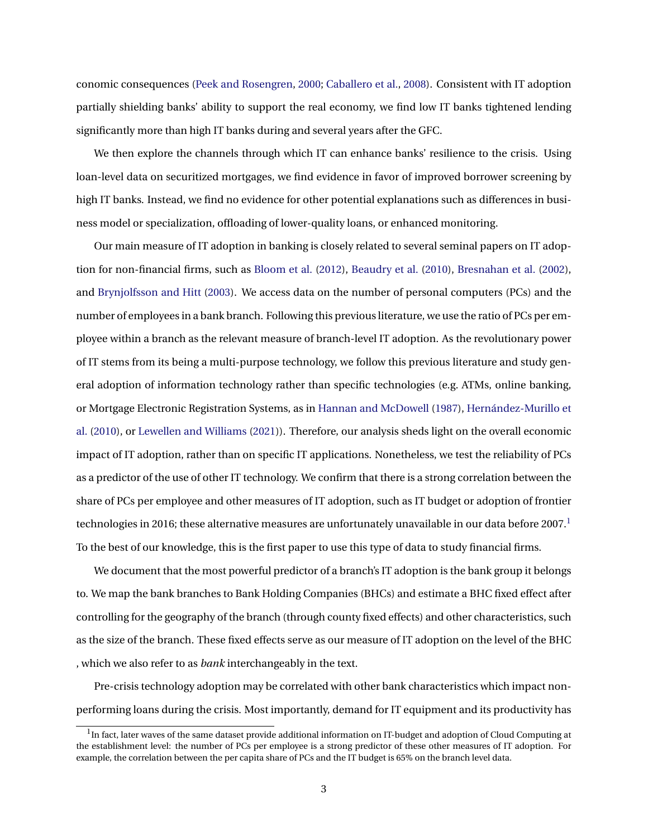conomic consequences [\(Peek and Rosengren,](#page-26-4) [2000;](#page-26-4) [Caballero et al.,](#page-25-5) [2008\)](#page-25-5). Consistent with IT adoption partially shielding banks' ability to support the real economy, we find low IT banks tightened lending significantly more than high IT banks during and several years after the GFC.

We then explore the channels through which IT can enhance banks' resilience to the crisis. Using loan-level data on securitized mortgages, we find evidence in favor of improved borrower screening by high IT banks. Instead, we find no evidence for other potential explanations such as differences in business model or specialization, offloading of lower-quality loans, or enhanced monitoring.

Our main measure of IT adoption in banking is closely related to several seminal papers on IT adoption for non-financial firms, such as [Bloom et al.](#page-24-2) [\(2012\)](#page-24-2), [Beaudry et al.](#page-24-3) [\(2010\)](#page-24-3), [Bresnahan et al.](#page-25-6) [\(2002\)](#page-25-6), and [Brynjolfsson and Hitt](#page-25-7) [\(2003\)](#page-25-7). We access data on the number of personal computers (PCs) and the number of employees in a bank branch. Following this previous literature, we use the ratio of PCs per employee within a branch as the relevant measure of branch-level IT adoption. As the revolutionary power of IT stems from its being a multi-purpose technology, we follow this previous literature and study general adoption of information technology rather than specific technologies (e.g. ATMs, online banking, or Mortgage Electronic Registration Systems, as in [Hannan and McDowell](#page-25-8) [\(1987\)](#page-25-8), [Hernández-Murillo et](#page-25-9) [al.](#page-25-9) [\(2010\)](#page-25-9), or [Lewellen and Williams](#page-26-5) [\(2021\)](#page-26-5)). Therefore, our analysis sheds light on the overall economic impact of IT adoption, rather than on specific IT applications. Nonetheless, we test the reliability of PCs as a predictor of the use of other IT technology. We confirm that there is a strong correlation between the share of PCs per employee and other measures of IT adoption, such as IT budget or adoption of frontier technologies in 20[1](#page-3-0)6; these alternative measures are unfortunately unavailable in our data before 2007.<sup>1</sup> To the best of our knowledge, this is the first paper to use this type of data to study financial firms.

We document that the most powerful predictor of a branch's IT adoption is the bank group it belongs to. We map the bank branches to Bank Holding Companies (BHCs) and estimate a BHC fixed effect after controlling for the geography of the branch (through county fixed effects) and other characteristics, such as the size of the branch. These fixed effects serve as our measure of IT adoption on the level of the BHC , which we also refer to as *bank* interchangeably in the text.

Pre-crisis technology adoption may be correlated with other bank characteristics which impact nonperforming loans during the crisis. Most importantly, demand for IT equipment and its productivity has

<span id="page-3-0"></span> $^1$ In fact, later waves of the same dataset provide additional information on IT-budget and adoption of Cloud Computing at the establishment level: the number of PCs per employee is a strong predictor of these other measures of IT adoption. For example, the correlation between the per capita share of PCs and the IT budget is 65% on the branch level data.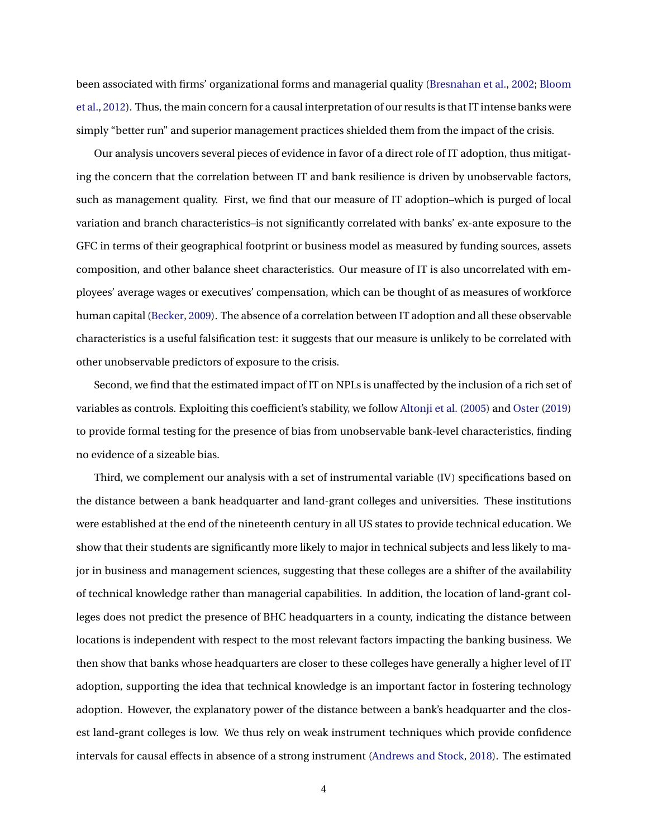been associated with firms' organizational forms and managerial quality [\(Bresnahan et al.,](#page-25-6) [2002;](#page-25-6) [Bloom](#page-24-2) [et al.,](#page-24-2) [2012\)](#page-24-2). Thus, the main concern for a causal interpretation of our results is that IT intense banks were simply "better run" and superior management practices shielded them from the impact of the crisis.

Our analysis uncovers several pieces of evidence in favor of a direct role of IT adoption, thus mitigating the concern that the correlation between IT and bank resilience is driven by unobservable factors, such as management quality. First, we find that our measure of IT adoption–which is purged of local variation and branch characteristics–is not significantly correlated with banks' ex-ante exposure to the GFC in terms of their geographical footprint or business model as measured by funding sources, assets composition, and other balance sheet characteristics. Our measure of IT is also uncorrelated with employees' average wages or executives' compensation, which can be thought of as measures of workforce human capital [\(Becker,](#page-24-4) [2009\)](#page-24-4). The absence of a correlation between IT adoption and all these observable characteristics is a useful falsification test: it suggests that our measure is unlikely to be correlated with other unobservable predictors of exposure to the crisis.

Second, we find that the estimated impact of IT on NPLs is unaffected by the inclusion of a rich set of variables as controls. Exploiting this coefficient's stability, we follow [Altonji et al.](#page-24-5) [\(2005\)](#page-24-5) and [Oster](#page-26-6) [\(2019\)](#page-26-6) to provide formal testing for the presence of bias from unobservable bank-level characteristics, finding no evidence of a sizeable bias.

Third, we complement our analysis with a set of instrumental variable (IV) specifications based on the distance between a bank headquarter and land-grant colleges and universities. These institutions were established at the end of the nineteenth century in all US states to provide technical education. We show that their students are significantly more likely to major in technical subjects and less likely to major in business and management sciences, suggesting that these colleges are a shifter of the availability of technical knowledge rather than managerial capabilities. In addition, the location of land-grant colleges does not predict the presence of BHC headquarters in a county, indicating the distance between locations is independent with respect to the most relevant factors impacting the banking business. We then show that banks whose headquarters are closer to these colleges have generally a higher level of IT adoption, supporting the idea that technical knowledge is an important factor in fostering technology adoption. However, the explanatory power of the distance between a bank's headquarter and the closest land-grant colleges is low. We thus rely on weak instrument techniques which provide confidence intervals for causal effects in absence of a strong instrument [\(Andrews and Stock,](#page-24-6) [2018\)](#page-24-6). The estimated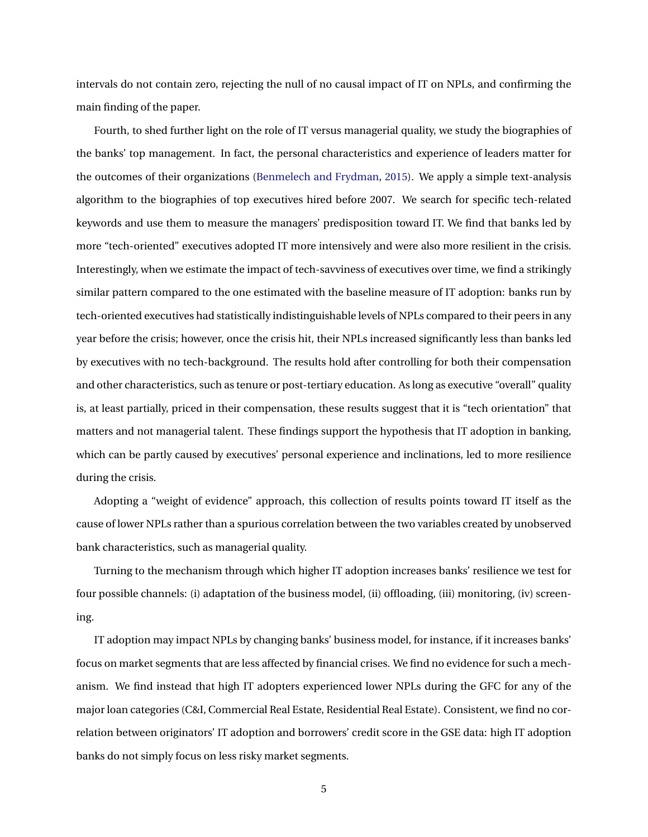intervals do not contain zero, rejecting the null of no causal impact of IT on NPLs, and confirming the main finding of the paper.

Fourth, to shed further light on the role of IT versus managerial quality, we study the biographies of the banks' top management. In fact, the personal characteristics and experience of leaders matter for the outcomes of their organizations [\(Benmelech and Frydman,](#page-24-7) [2015\)](#page-24-7). We apply a simple text-analysis algorithm to the biographies of top executives hired before 2007. We search for specific tech-related keywords and use them to measure the managers' predisposition toward IT. We find that banks led by more "tech-oriented" executives adopted IT more intensively and were also more resilient in the crisis. Interestingly, when we estimate the impact of tech-savviness of executives over time, we find a strikingly similar pattern compared to the one estimated with the baseline measure of IT adoption: banks run by tech-oriented executives had statistically indistinguishable levels of NPLs compared to their peers in any year before the crisis; however, once the crisis hit, their NPLs increased significantly less than banks led by executives with no tech-background. The results hold after controlling for both their compensation and other characteristics, such as tenure or post-tertiary education. As long as executive "overall" quality is, at least partially, priced in their compensation, these results suggest that it is "tech orientation" that matters and not managerial talent. These findings support the hypothesis that IT adoption in banking, which can be partly caused by executives' personal experience and inclinations, led to more resilience during the crisis.

Adopting a "weight of evidence" approach, this collection of results points toward IT itself as the cause of lower NPLs rather than a spurious correlation between the two variables created by unobserved bank characteristics, such as managerial quality.

Turning to the mechanism through which higher IT adoption increases banks' resilience we test for four possible channels: (i) adaptation of the business model, (ii) offloading, (iii) monitoring, (iv) screening.

IT adoption may impact NPLs by changing banks' business model, for instance, if it increases banks' focus on market segments that are less affected by financial crises. We find no evidence for such a mechanism. We find instead that high IT adopters experienced lower NPLs during the GFC for any of the major loan categories (C&I, Commercial Real Estate, Residential Real Estate). Consistent, we find no correlation between originators' IT adoption and borrowers' credit score in the GSE data: high IT adoption banks do not simply focus on less risky market segments.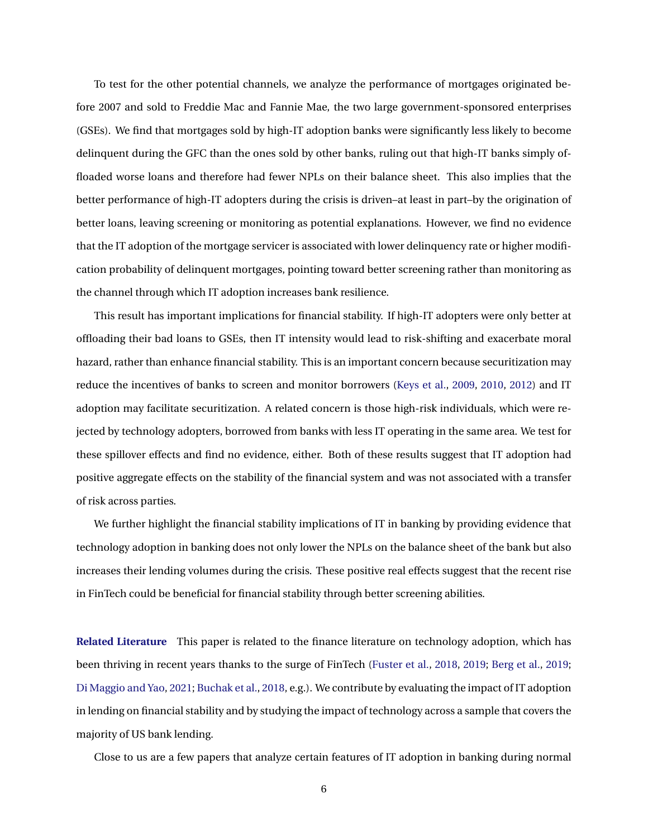To test for the other potential channels, we analyze the performance of mortgages originated before 2007 and sold to Freddie Mac and Fannie Mae, the two large government-sponsored enterprises (GSEs). We find that mortgages sold by high-IT adoption banks were significantly less likely to become delinquent during the GFC than the ones sold by other banks, ruling out that high-IT banks simply offloaded worse loans and therefore had fewer NPLs on their balance sheet. This also implies that the better performance of high-IT adopters during the crisis is driven–at least in part–by the origination of better loans, leaving screening or monitoring as potential explanations. However, we find no evidence that the IT adoption of the mortgage servicer is associated with lower delinquency rate or higher modification probability of delinquent mortgages, pointing toward better screening rather than monitoring as the channel through which IT adoption increases bank resilience.

This result has important implications for financial stability. If high-IT adopters were only better at offloading their bad loans to GSEs, then IT intensity would lead to risk-shifting and exacerbate moral hazard, rather than enhance financial stability. This is an important concern because securitization may reduce the incentives of banks to screen and monitor borrowers [\(Keys et al.,](#page-26-7) [2009,](#page-26-7) [2010,](#page-26-8) [2012\)](#page-25-10) and IT adoption may facilitate securitization. A related concern is those high-risk individuals, which were rejected by technology adopters, borrowed from banks with less IT operating in the same area. We test for these spillover effects and find no evidence, either. Both of these results suggest that IT adoption had positive aggregate effects on the stability of the financial system and was not associated with a transfer of risk across parties.

We further highlight the financial stability implications of IT in banking by providing evidence that technology adoption in banking does not only lower the NPLs on the balance sheet of the bank but also increases their lending volumes during the crisis. These positive real effects suggest that the recent rise in FinTech could be beneficial for financial stability through better screening abilities.

**Related Literature** This paper is related to the finance literature on technology adoption, which has been thriving in recent years thanks to the surge of FinTech [\(Fuster et al.,](#page-25-11) [2018,](#page-25-11) [2019;](#page-25-3) [Berg et al.,](#page-24-1) [2019;](#page-24-1) [Di Maggio and Yao,](#page-26-0) [2021;](#page-26-0) [Buchak et al.,](#page-25-12) [2018,](#page-25-12) e.g.). We contribute by evaluating the impact of IT adoption in lending on financial stability and by studying the impact of technology across a sample that covers the majority of US bank lending.

Close to us are a few papers that analyze certain features of IT adoption in banking during normal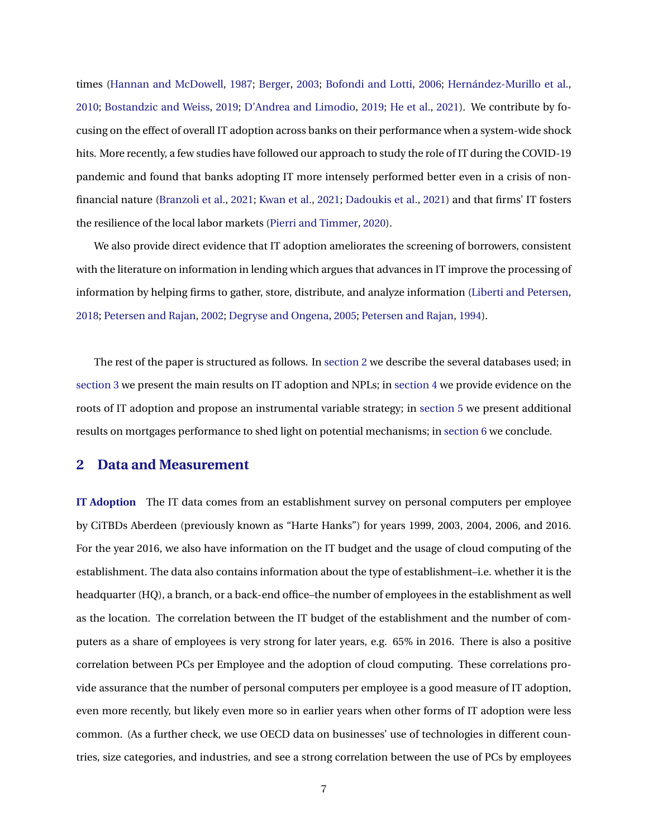<span id="page-7-1"></span>times [\(Hannan and McDowell,](#page-25-8) [1987;](#page-25-8) [Berger,](#page-24-8) [2003;](#page-24-8) [Bofondi and Lotti,](#page-24-9) [2006;](#page-24-9) [Hernández-Murillo et al.,](#page-25-9) [2010;](#page-25-9) [Bostandzic and Weiss,](#page-24-10) [2019;](#page-24-10) [D'Andrea and Limodio,](#page-25-13) [2019;](#page-25-13) [He et al.,](#page-25-14) [2021\)](#page-25-14). We contribute by focusing on the effect of overall IT adoption across banks on their performance when a system-wide shock hits. More recently, a few studies have followed our approach to study the role of IT during the COVID-19 pandemic and found that banks adopting IT more intensely performed better even in a crisis of nonfinancial nature [\(Branzoli et al.,](#page-24-11) [2021;](#page-24-11) [Kwan et al.,](#page-26-9) [2021;](#page-26-9) [Dadoukis et al.,](#page-25-15) [2021\)](#page-25-15) and that firms' IT fosters the resilience of the local labor markets [\(Pierri and Timmer,](#page-26-10) [2020\)](#page-26-10).

We also provide direct evidence that IT adoption ameliorates the screening of borrowers, consistent with the literature on information in lending which argues that advances in IT improve the processing of information by helping firms to gather, store, distribute, and analyze information [\(Liberti and Petersen,](#page-26-1) [2018;](#page-26-1) [Petersen and Rajan,](#page-26-11) [2002;](#page-26-11) [Degryse and Ongena,](#page-25-16) [2005;](#page-25-16) [Petersen and Rajan,](#page-26-12) [1994\)](#page-26-12).

The rest of the paper is structured as follows. In [section 2](#page-7-0) we describe the several databases used; in [section 3](#page-10-0) we present the main results on IT adoption and NPLs; in [section 4](#page-16-0) we provide evidence on the roots of IT adoption and propose an instrumental variable strategy; in [section 5](#page-20-0) we present additional results on mortgages performance to shed light on potential mechanisms; in [section 6](#page-23-0) we conclude.

# <span id="page-7-0"></span>**2 Data and Measurement**

**IT Adoption** The IT data comes from an establishment survey on personal computers per employee by CiTBDs Aberdeen (previously known as "Harte Hanks") for years 1999, 2003, 2004, 2006, and 2016. For the year 2016, we also have information on the IT budget and the usage of cloud computing of the establishment. The data also contains information about the type of establishment–i.e. whether it is the headquarter (HQ), a branch, or a back-end office–the number of employees in the establishment as well as the location. The correlation between the IT budget of the establishment and the number of computers as a share of employees is very strong for later years, e.g. 65% in 2016. There is also a positive correlation between PCs per Employee and the adoption of cloud computing. These correlations provide assurance that the number of personal computers per employee is a good measure of IT adoption, even more recently, but likely even more so in earlier years when other forms of IT adoption were less common. (As a further check, we use OECD data on businesses' use of technologies in different countries, size categories, and industries, and see a strong correlation between the use of PCs by employees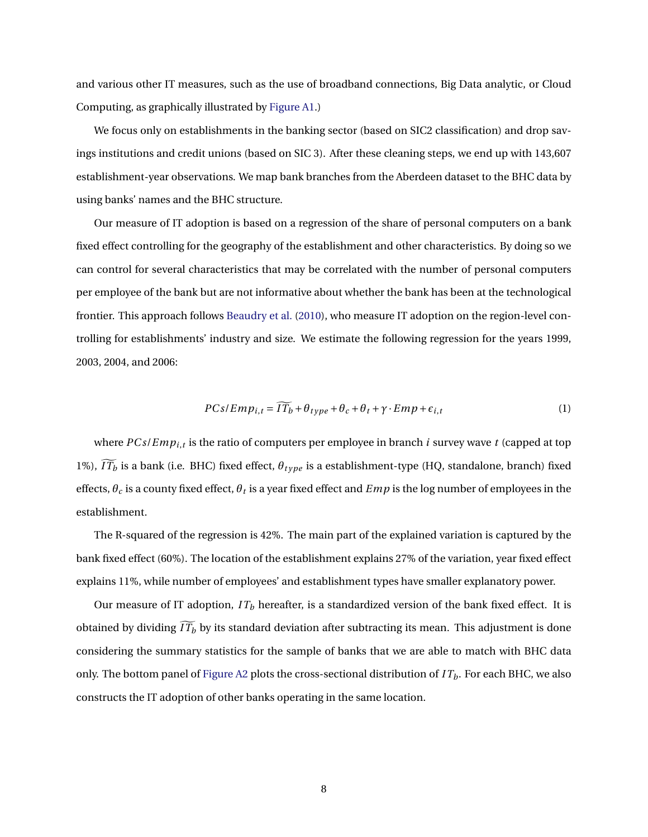and various other IT measures, such as the use of broadband connections, Big Data analytic, or Cloud Computing, as graphically illustrated by [Figure A1.](#page-27-0))

We focus only on establishments in the banking sector (based on SIC2 classification) and drop savings institutions and credit unions (based on SIC 3). After these cleaning steps, we end up with 143,607 establishment-year observations. We map bank branches from the Aberdeen dataset to the BHC data by using banks' names and the BHC structure.

Our measure of IT adoption is based on a regression of the share of personal computers on a bank fixed effect controlling for the geography of the establishment and other characteristics. By doing so we can control for several characteristics that may be correlated with the number of personal computers per employee of the bank but are not informative about whether the bank has been at the technological frontier. This approach follows [Beaudry et al.](#page-24-3) [\(2010\)](#page-24-3), who measure IT adoption on the region-level controlling for establishments' industry and size. We estimate the following regression for the years 1999, 2003, 2004, and 2006:

<span id="page-8-0"></span>
$$
PCs/Emp_{i,t} = \widetilde{IT_b} + \theta_{type} + \theta_c + \theta_t + \gamma \cdot Emp + \epsilon_{i,t}
$$
 (1)

where *PC s*/*Empi*,*<sup>t</sup>* is the ratio of computers per employee in branch *i* survey wave *t* (capped at top 1%),  $\widetilde{IT_b}$  is a bank (i.e. BHC) fixed effect,  $\theta_{type}$  is a establishment-type (HQ, standalone, branch) fixed effects,  $\theta_c$  is a county fixed effect,  $\theta_t$  is a year fixed effect and  $Emp$  is the log number of employees in the establishment.

The R-squared of the regression is 42%. The main part of the explained variation is captured by the bank fixed effect (60%). The location of the establishment explains 27% of the variation, year fixed effect explains 11%, while number of employees' and establishment types have smaller explanatory power.

Our measure of IT adoption,  $IT<sub>b</sub>$  hereafter, is a standardized version of the bank fixed effect. It is obtained by dividing  $\widetilde{IT_b}$  by its standard deviation after subtracting its mean. This adjustment is done considering the summary statistics for the sample of banks that we are able to match with BHC data only. The bottom panel of [Figure A2](#page-28-0) plots the cross-sectional distribution of *I Tb*. For each BHC, we also constructs the IT adoption of other banks operating in the same location.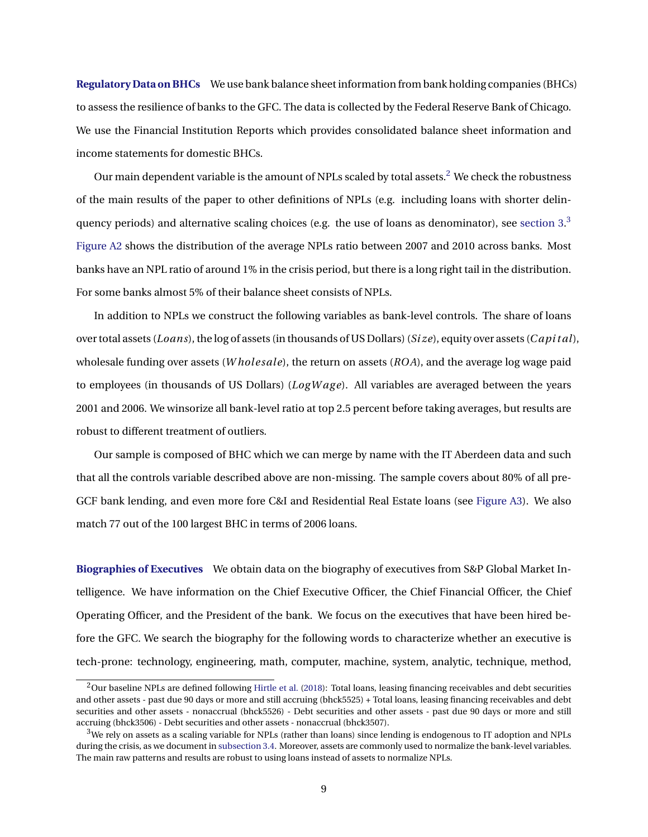**Regulatory Data on BHCs** We use bank balance sheet information from bank holding companies (BHCs) to assess the resilience of banks to the GFC. The data is collected by the Federal Reserve Bank of Chicago. We use the Financial Institution Reports which provides consolidated balance sheet information and income statements for domestic BHCs.

Our main dependent variable is the amount of NPLs scaled by total assets.<sup>[2](#page-9-0)</sup> We check the robustness of the main results of the paper to other definitions of NPLs (e.g. including loans with shorter delinquency periods) and alternative scaling choices (e.g. the use of loans as denominator), see section  $3.3$  $3.3$ [Figure A2](#page-28-0) shows the distribution of the average NPLs ratio between 2007 and 2010 across banks. Most banks have an NPL ratio of around 1% in the crisis period, but there is a long right tail in the distribution. For some banks almost 5% of their balance sheet consists of NPLs.

In addition to NPLs we construct the following variables as bank-level controls. The share of loans over total assets (*Loans*), the log of assets (in thousands of US Dollars) (*Si ze*), equity over assets (*C api t al*), wholesale funding over assets (*W holesale*), the return on assets (*ROA*), and the average log wage paid to employees (in thousands of US Dollars) (*LogWage*). All variables are averaged between the years 2001 and 2006. We winsorize all bank-level ratio at top 2.5 percent before taking averages, but results are robust to different treatment of outliers.

Our sample is composed of BHC which we can merge by name with the IT Aberdeen data and such that all the controls variable described above are non-missing. The sample covers about 80% of all pre-GCF bank lending, and even more fore C&I and Residential Real Estate loans (see [Figure A3\)](#page-29-0). We also match 77 out of the 100 largest BHC in terms of 2006 loans.

**Biographies of Executives** We obtain data on the biography of executives from S&P Global Market Intelligence. We have information on the Chief Executive Officer, the Chief Financial Officer, the Chief Operating Officer, and the President of the bank. We focus on the executives that have been hired before the GFC. We search the biography for the following words to characterize whether an executive is tech-prone: technology, engineering, math, computer, machine, system, analytic, technique, method,

<span id="page-9-0"></span> $2$ Our baseline NPLs are defined following [Hirtle et al.](#page-25-17) [\(2018\)](#page-25-17): Total loans, leasing financing receivables and debt securities and other assets - past due 90 days or more and still accruing (bhck5525) + Total loans, leasing financing receivables and debt securities and other assets - nonaccrual (bhck5526) - Debt securities and other assets - past due 90 days or more and still accruing (bhck3506) - Debt securities and other assets - nonaccrual (bhck3507).

<span id="page-9-1"></span> $3$ We rely on assets as a scaling variable for NPLs (rather than loans) since lending is endogenous to IT adoption and NPLs during the crisis, as we document in [subsection 3.4.](#page-15-0) Moreover, assets are commonly used to normalize the bank-level variables. The main raw patterns and results are robust to using loans instead of assets to normalize NPLs.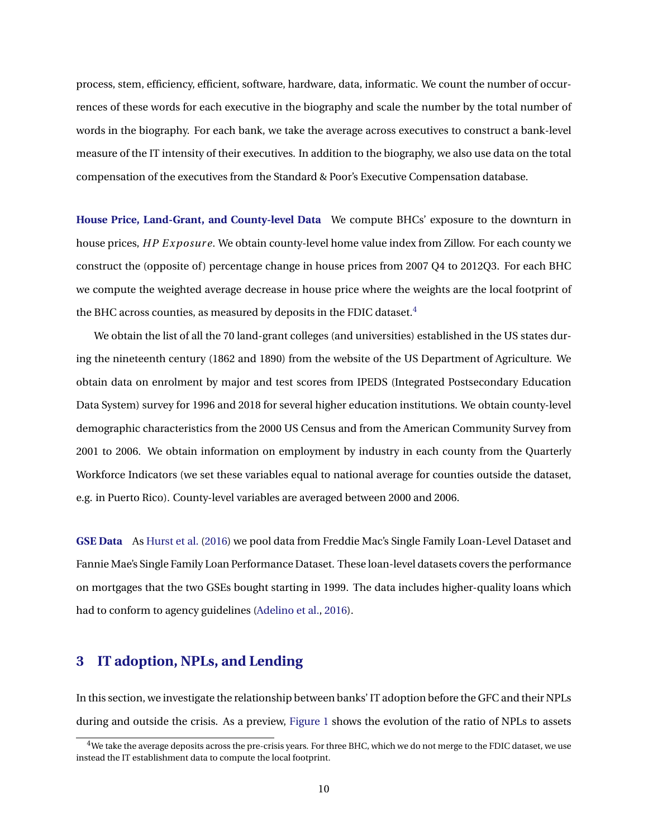process, stem, efficiency, efficient, software, hardware, data, informatic. We count the number of occurrences of these words for each executive in the biography and scale the number by the total number of words in the biography. For each bank, we take the average across executives to construct a bank-level measure of the IT intensity of their executives. In addition to the biography, we also use data on the total compensation of the executives from the Standard & Poor's Executive Compensation database.

**House Price, Land-Grant, and County-level Data** We compute BHCs' exposure to the downturn in house prices, *HP E xposur e*. We obtain county-level home value index from Zillow. For each county we construct the (opposite of ) percentage change in house prices from 2007 Q4 to 2012Q3. For each BHC we compute the weighted average decrease in house price where the weights are the local footprint of the BHC across counties, as measured by deposits in the FDIC dataset. $4$ 

We obtain the list of all the 70 land-grant colleges (and universities) established in the US states during the nineteenth century (1862 and 1890) from the website of the US Department of Agriculture. We obtain data on enrolment by major and test scores from IPEDS (Integrated Postsecondary Education Data System) survey for 1996 and 2018 for several higher education institutions. We obtain county-level demographic characteristics from the 2000 US Census and from the American Community Survey from 2001 to 2006. We obtain information on employment by industry in each county from the Quarterly Workforce Indicators (we set these variables equal to national average for counties outside the dataset, e.g. in Puerto Rico). County-level variables are averaged between 2000 and 2006.

**GSE Data** As [Hurst et al.](#page-25-18) [\(2016\)](#page-25-18) we pool data from Freddie Mac's Single Family Loan-Level Dataset and Fannie Mae's Single Family Loan Performance Dataset. These loan-level datasets covers the performance on mortgages that the two GSEs bought starting in 1999. The data includes higher-quality loans which had to conform to agency guidelines [\(Adelino et al.,](#page-23-1) [2016\)](#page-23-1).

# <span id="page-10-0"></span>**3 IT adoption, NPLs, and Lending**

In this section, we investigate the relationship between banks' IT adoption before the GFC and their NPLs during and outside the crisis. As a preview, [Figure 1](#page-27-0) shows the evolution of the ratio of NPLs to assets

<span id="page-10-1"></span> $4$ We take the average deposits across the pre-crisis years. For three BHC, which we do not merge to the FDIC dataset, we use instead the IT establishment data to compute the local footprint.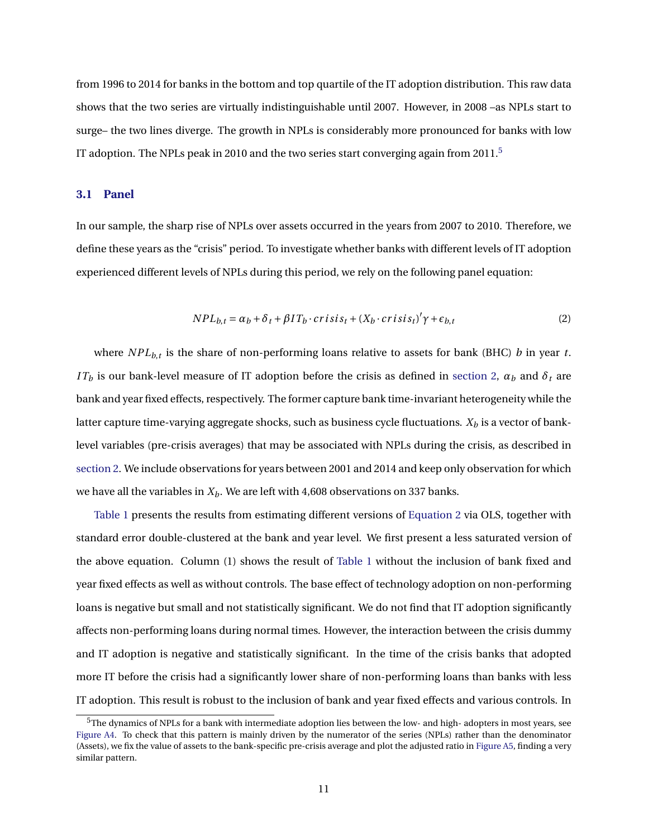from 1996 to 2014 for banks in the bottom and top quartile of the IT adoption distribution. This raw data shows that the two series are virtually indistinguishable until 2007. However, in 2008 –as NPLs start to surge– the two lines diverge. The growth in NPLs is considerably more pronounced for banks with low IT adoption. The NPLs peak in 2010 and the two series start converging again from 2011.<sup>[5](#page-11-0)</sup>

# <span id="page-11-2"></span>**3.1 Panel**

In our sample, the sharp rise of NPLs over assets occurred in the years from 2007 to 2010. Therefore, we define these years as the "crisis" period. To investigate whether banks with different levels of IT adoption experienced different levels of NPLs during this period, we rely on the following panel equation:

<span id="page-11-3"></span><span id="page-11-1"></span>
$$
NPL_{b,t} = \alpha_b + \delta_t + \beta IT_b \cdot crisis_t + (X_b \cdot crisis_t)' \gamma + \epsilon_{b,t}
$$
 (2)

where *NPLb*,*<sup>t</sup>* is the share of non-performing loans relative to assets for bank (BHC) *b* in year *t*. *IT<sub>b</sub>* is our bank-level measure of IT adoption before the crisis as defined in [section 2,](#page-7-0)  $\alpha_b$  and  $\delta_t$  are bank and year fixed effects, respectively. The former capture bank time-invariant heterogeneity while the latter capture time-varying aggregate shocks, such as business cycle fluctuations. *X<sup>b</sup>* is a vector of banklevel variables (pre-crisis averages) that may be associated with NPLs during the crisis, as described in [section 2.](#page-7-0) We include observations for years between 2001 and 2014 and keep only observation for which we have all the variables in *Xb*. We are left with 4,608 observations on 337 banks.

[Table 1](#page-31-0) presents the results from estimating different versions of [Equation 2](#page-11-1) via OLS, together with standard error double-clustered at the bank and year level. We first present a less saturated version of the above equation. Column (1) shows the result of [Table 1](#page-31-0) without the inclusion of bank fixed and year fixed effects as well as without controls. The base effect of technology adoption on non-performing loans is negative but small and not statistically significant. We do not find that IT adoption significantly affects non-performing loans during normal times. However, the interaction between the crisis dummy and IT adoption is negative and statistically significant. In the time of the crisis banks that adopted more IT before the crisis had a significantly lower share of non-performing loans than banks with less IT adoption. This result is robust to the inclusion of bank and year fixed effects and various controls. In

<span id="page-11-0"></span> $5$ The dynamics of NPLs for a bank with intermediate adoption lies between the low- and high- adopters in most years, see [Figure A4.](#page-30-0) To check that this pattern is mainly driven by the numerator of the series (NPLs) rather than the denominator (Assets), we fix the value of assets to the bank-specific pre-crisis average and plot the adjusted ratio in [Figure A5,](#page-40-0) finding a very similar pattern.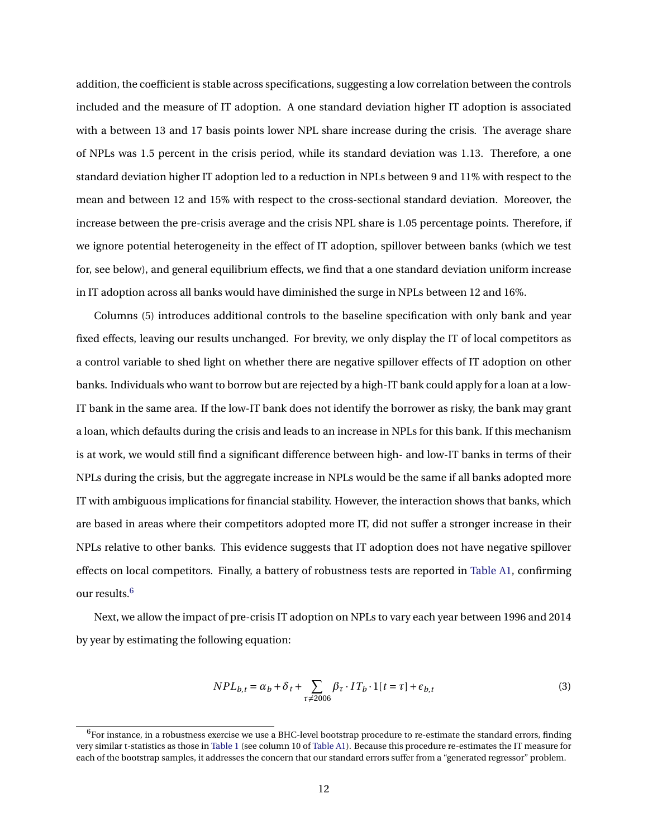addition, the coefficient is stable across specifications, suggesting a low correlation between the controls included and the measure of IT adoption. A one standard deviation higher IT adoption is associated with a between 13 and 17 basis points lower NPL share increase during the crisis. The average share of NPLs was 1.5 percent in the crisis period, while its standard deviation was 1.13. Therefore, a one standard deviation higher IT adoption led to a reduction in NPLs between 9 and 11% with respect to the mean and between 12 and 15% with respect to the cross-sectional standard deviation. Moreover, the increase between the pre-crisis average and the crisis NPL share is 1.05 percentage points. Therefore, if we ignore potential heterogeneity in the effect of IT adoption, spillover between banks (which we test for, see below), and general equilibrium effects, we find that a one standard deviation uniform increase in IT adoption across all banks would have diminished the surge in NPLs between 12 and 16%.

Columns (5) introduces additional controls to the baseline specification with only bank and year fixed effects, leaving our results unchanged. For brevity, we only display the IT of local competitors as a control variable to shed light on whether there are negative spillover effects of IT adoption on other banks. Individuals who want to borrow but are rejected by a high-IT bank could apply for a loan at a low-IT bank in the same area. If the low-IT bank does not identify the borrower as risky, the bank may grant a loan, which defaults during the crisis and leads to an increase in NPLs for this bank. If this mechanism is at work, we would still find a significant difference between high- and low-IT banks in terms of their NPLs during the crisis, but the aggregate increase in NPLs would be the same if all banks adopted more IT with ambiguous implications for financial stability. However, the interaction shows that banks, which are based in areas where their competitors adopted more IT, did not suffer a stronger increase in their NPLs relative to other banks. This evidence suggests that IT adoption does not have negative spillover effects on local competitors. Finally, a battery of robustness tests are reported in [Table A1,](#page-31-0) confirming our results.<sup>[6](#page-12-0)</sup>

Next, we allow the impact of pre-crisis IT adoption on NPLs to vary each year between 1996 and 2014 by year by estimating the following equation:

<span id="page-12-1"></span>
$$
NPL_{b,t} = \alpha_b + \delta_t + \sum_{\tau \neq 2006} \beta_{\tau} \cdot IT_b \cdot 1[t = \tau] + \epsilon_{b,t}
$$
\n<sup>(3)</sup>

<span id="page-12-0"></span> $6$ For instance, in a robustness exercise we use a BHC-level bootstrap procedure to re-estimate the standard errors, finding very similar t-statistics as those in [Table 1](#page-31-0) (see column 10 of [Table A1\)](#page-31-0). Because this procedure re-estimates the IT measure for each of the bootstrap samples, it addresses the concern that our standard errors suffer from a "generated regressor" problem.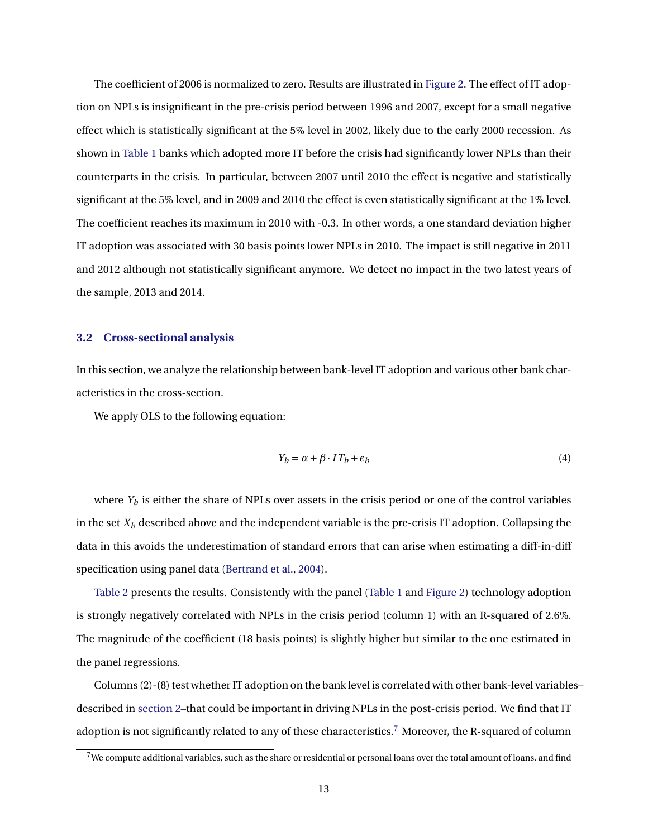The coefficient of 2006 is normalized to zero. Results are illustrated in [Figure 2.](#page-28-0) The effect of IT adoption on NPLs is insignificant in the pre-crisis period between 1996 and 2007, except for a small negative effect which is statistically significant at the 5% level in 2002, likely due to the early 2000 recession. As shown in [Table 1](#page-31-0) banks which adopted more IT before the crisis had significantly lower NPLs than their counterparts in the crisis. In particular, between 2007 until 2010 the effect is negative and statistically significant at the 5% level, and in 2009 and 2010 the effect is even statistically significant at the 1% level. The coefficient reaches its maximum in 2010 with -0.3. In other words, a one standard deviation higher IT adoption was associated with 30 basis points lower NPLs in 2010. The impact is still negative in 2011 and 2012 although not statistically significant anymore. We detect no impact in the two latest years of the sample, 2013 and 2014.

#### <span id="page-13-2"></span>**3.2 Cross-sectional analysis**

In this section, we analyze the relationship between bank-level IT adoption and various other bank characteristics in the cross-section.

We apply OLS to the following equation:

<span id="page-13-1"></span>
$$
Y_b = \alpha + \beta \cdot IT_b + \epsilon_b \tag{4}
$$

where  $Y_b$  is either the share of NPLs over assets in the crisis period or one of the control variables in the set  $X_b$  described above and the independent variable is the pre-crisis IT adoption. Collapsing the data in this avoids the underestimation of standard errors that can arise when estimating a diff-in-diff specification using panel data [\(Bertrand et al.,](#page-24-12) [2004\)](#page-24-12).

[Table 2](#page-32-0) presents the results. Consistently with the panel [\(Table 1](#page-31-0) and [Figure 2\)](#page-28-0) technology adoption is strongly negatively correlated with NPLs in the crisis period (column 1) with an R-squared of 2.6%. The magnitude of the coefficient (18 basis points) is slightly higher but similar to the one estimated in the panel regressions.

Columns (2)-(8) test whether IT adoption on the bank level is correlated with other bank-level variables– described in [section 2–](#page-7-0)that could be important in driving NPLs in the post-crisis period. We find that IT adoption is not significantly related to any of these characteristics.<sup>[7](#page-13-0)</sup> Moreover, the R-squared of column

<span id="page-13-0"></span> $7$ We compute additional variables, such as the share or residential or personal loans over the total amount of loans, and find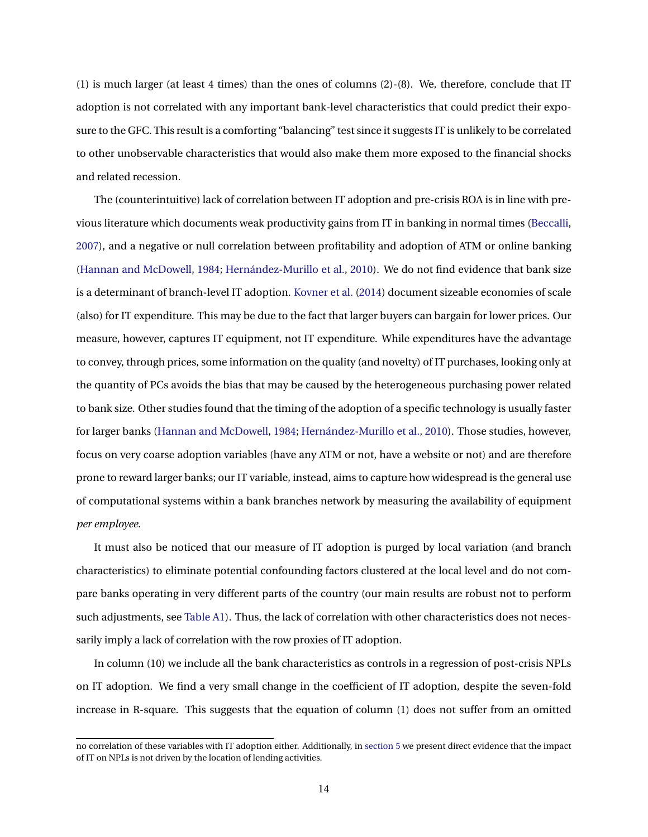(1) is much larger (at least 4 times) than the ones of columns (2)-(8). We, therefore, conclude that IT adoption is not correlated with any important bank-level characteristics that could predict their exposure to the GFC. This result is a comforting "balancing" test since it suggests IT is unlikely to be correlated to other unobservable characteristics that would also make them more exposed to the financial shocks and related recession.

The (counterintuitive) lack of correlation between IT adoption and pre-crisis ROA is in line with previous literature which documents weak productivity gains from IT in banking in normal times [\(Beccalli,](#page-24-13) [2007\)](#page-24-13), and a negative or null correlation between profitability and adoption of ATM or online banking [\(Hannan and McDowell,](#page-25-19) [1984;](#page-25-19) [Hernández-Murillo et al.,](#page-25-9) [2010\)](#page-25-9). We do not find evidence that bank size is a determinant of branch-level IT adoption. [Kovner et al.](#page-26-13) [\(2014\)](#page-26-13) document sizeable economies of scale (also) for IT expenditure. This may be due to the fact that larger buyers can bargain for lower prices. Our measure, however, captures IT equipment, not IT expenditure. While expenditures have the advantage to convey, through prices, some information on the quality (and novelty) of IT purchases, looking only at the quantity of PCs avoids the bias that may be caused by the heterogeneous purchasing power related to bank size. Other studies found that the timing of the adoption of a specific technology is usually faster for larger banks [\(Hannan and McDowell,](#page-25-19) [1984;](#page-25-19) [Hernández-Murillo et al.,](#page-25-9) [2010\)](#page-25-9). Those studies, however, focus on very coarse adoption variables (have any ATM or not, have a website or not) and are therefore prone to reward larger banks; our IT variable, instead, aims to capture how widespread is the general use of computational systems within a bank branches network by measuring the availability of equipment *per employee*.

It must also be noticed that our measure of IT adoption is purged by local variation (and branch characteristics) to eliminate potential confounding factors clustered at the local level and do not compare banks operating in very different parts of the country (our main results are robust not to perform such adjustments, see [Table A1\)](#page-31-0). Thus, the lack of correlation with other characteristics does not necessarily imply a lack of correlation with the row proxies of IT adoption.

In column (10) we include all the bank characteristics as controls in a regression of post-crisis NPLs on IT adoption. We find a very small change in the coefficient of IT adoption, despite the seven-fold increase in R-square. This suggests that the equation of column (1) does not suffer from an omitted

no correlation of these variables with IT adoption either. Additionally, in [section 5](#page-20-0) we present direct evidence that the impact of IT on NPLs is not driven by the location of lending activities.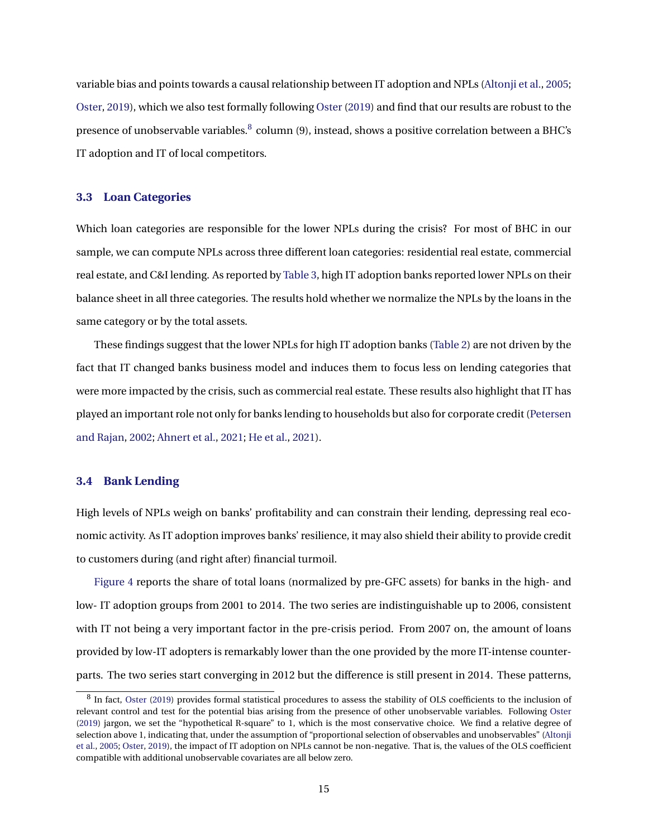variable bias and points towards a causal relationship between IT adoption and NPLs [\(Altonji et al.,](#page-24-5) [2005;](#page-24-5) [Oster,](#page-26-6) [2019\)](#page-26-6), which we also test formally following [Oster](#page-26-6) [\(2019\)](#page-26-6) and find that our results are robust to the presence of unobservable variables. $^8$  $^8$  column (9), instead, shows a positive correlation between a BHC's IT adoption and IT of local competitors.

## **3.3 Loan Categories**

Which loan categories are responsible for the lower NPLs during the crisis? For most of BHC in our sample, we can compute NPLs across three different loan categories: residential real estate, commercial real estate, and C&I lending. As reported by [Table 3,](#page-32-1) high IT adoption banks reported lower NPLs on their balance sheet in all three categories. The results hold whether we normalize the NPLs by the loans in the same category or by the total assets.

These findings suggest that the lower NPLs for high IT adoption banks [\(Table 2\)](#page-32-0) are not driven by the fact that IT changed banks business model and induces them to focus less on lending categories that were more impacted by the crisis, such as commercial real estate. These results also highlight that IT has played an important role not only for banks lending to households but also for corporate credit [\(Petersen](#page-26-11) [and Rajan,](#page-26-11) [2002;](#page-26-11) [Ahnert et al.,](#page-23-2) [2021;](#page-23-2) [He et al.,](#page-25-14) [2021\)](#page-25-14).

## <span id="page-15-0"></span>**3.4 Bank Lending**

High levels of NPLs weigh on banks' profitability and can constrain their lending, depressing real economic activity. As IT adoption improves banks' resilience, it may also shield their ability to provide credit to customers during (and right after) financial turmoil.

[Figure 4](#page-30-0) reports the share of total loans (normalized by pre-GFC assets) for banks in the high- and low- IT adoption groups from 2001 to 2014. The two series are indistinguishable up to 2006, consistent with IT not being a very important factor in the pre-crisis period. From 2007 on, the amount of loans provided by low-IT adopters is remarkably lower than the one provided by the more IT-intense counterparts. The two series start converging in 2012 but the difference is still present in 2014. These patterns,

<span id="page-15-1"></span><sup>&</sup>lt;sup>8</sup> In fact, [Oster](#page-26-6) [\(2019\)](#page-26-6) provides formal statistical procedures to assess the stability of OLS coefficients to the inclusion of relevant control and test for the potential bias arising from the presence of other unobservable variables. Following [Oster](#page-26-6) [\(2019\)](#page-26-6) jargon, we set the "hypothetical R-square" to 1, which is the most conservative choice. We find a relative degree of selection above 1, indicating that, under the assumption of "proportional selection of observables and unobservables" [\(Altonji](#page-24-5) [et al.,](#page-24-5) [2005;](#page-24-5) [Oster,](#page-26-6) [2019\)](#page-26-6), the impact of IT adoption on NPLs cannot be non-negative. That is, the values of the OLS coefficient compatible with additional unobservable covariates are all below zero.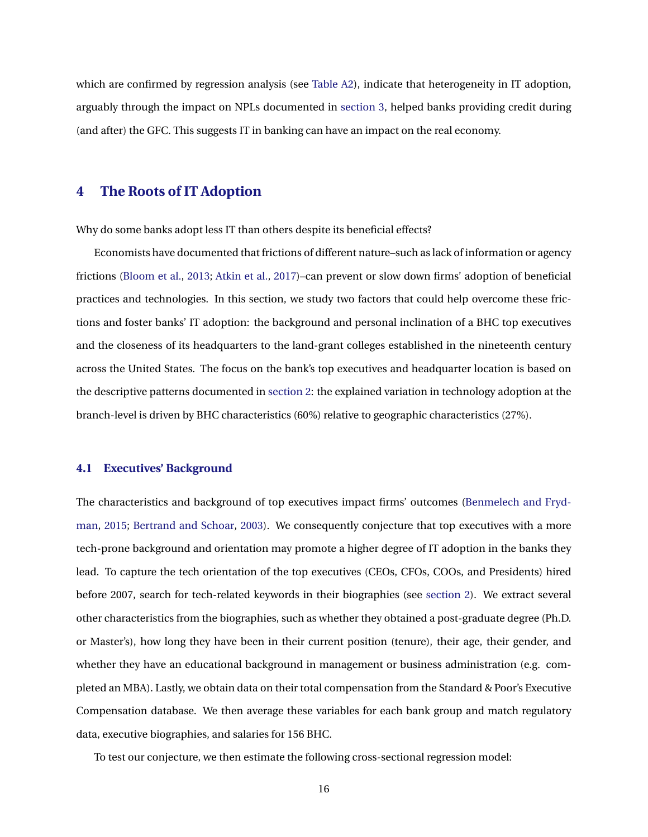which are confirmed by regression analysis (see [Table A2\)](#page-32-0), indicate that heterogeneity in IT adoption, arguably through the impact on NPLs documented in [section 3,](#page-10-0) helped banks providing credit during (and after) the GFC. This suggests IT in banking can have an impact on the real economy.

# <span id="page-16-0"></span>**4 The Roots of IT Adoption**

Why do some banks adopt less IT than others despite its beneficial effects?

Economists have documented that frictions of different nature–such as lack of information or agency frictions [\(Bloom et al.,](#page-24-14) [2013;](#page-24-14) [Atkin et al.,](#page-24-15) [2017\)](#page-24-15)–can prevent or slow down firms' adoption of beneficial practices and technologies. In this section, we study two factors that could help overcome these frictions and foster banks' IT adoption: the background and personal inclination of a BHC top executives and the closeness of its headquarters to the land-grant colleges established in the nineteenth century across the United States. The focus on the bank's top executives and headquarter location is based on the descriptive patterns documented in [section 2:](#page-7-0) the explained variation in technology adoption at the branch-level is driven by BHC characteristics (60%) relative to geographic characteristics (27%).

#### <span id="page-16-1"></span>**4.1 Executives' Background**

The characteristics and background of top executives impact firms' outcomes [\(Benmelech and Fryd](#page-24-7)[man,](#page-24-7) [2015;](#page-24-7) [Bertrand and Schoar,](#page-24-16) [2003\)](#page-24-16). We consequently conjecture that top executives with a more tech-prone background and orientation may promote a higher degree of IT adoption in the banks they lead. To capture the tech orientation of the top executives (CEOs, CFOs, COOs, and Presidents) hired before 2007, search for tech-related keywords in their biographies (see [section 2\)](#page-7-0). We extract several other characteristics from the biographies, such as whether they obtained a post-graduate degree (Ph.D. or Master's), how long they have been in their current position (tenure), their age, their gender, and whether they have an educational background in management or business administration (e.g. completed an MBA). Lastly, we obtain data on their total compensation from the Standard & Poor's Executive Compensation database. We then average these variables for each bank group and match regulatory data, executive biographies, and salaries for 156 BHC.

To test our conjecture, we then estimate the following cross-sectional regression model: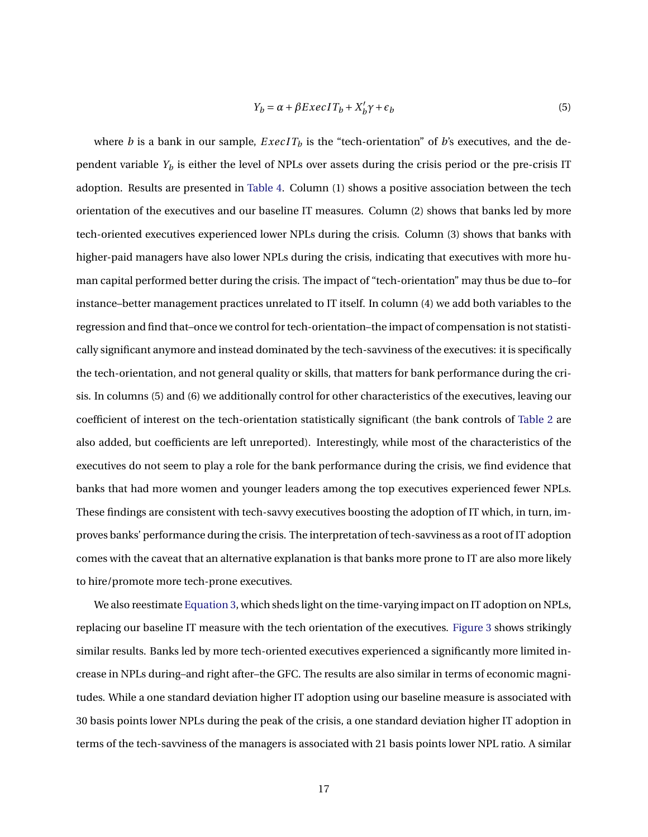$$
Y_b = \alpha + \beta E \, x \, \text{ec} \, I \, T_b + X_b' \gamma + \epsilon_b \tag{5}
$$

where *b* is a bank in our sample,  $ExecIT_b$  is the "tech-orientation" of *b*'s executives, and the dependent variable *Y<sup>b</sup>* is either the level of NPLs over assets during the crisis period or the pre-crisis IT adoption. Results are presented in [Table 4.](#page-33-0) Column (1) shows a positive association between the tech orientation of the executives and our baseline IT measures. Column (2) shows that banks led by more tech-oriented executives experienced lower NPLs during the crisis. Column (3) shows that banks with higher-paid managers have also lower NPLs during the crisis, indicating that executives with more human capital performed better during the crisis. The impact of "tech-orientation" may thus be due to–for instance–better management practices unrelated to IT itself. In column (4) we add both variables to the regression and find that–once we control for tech-orientation–the impact of compensation is not statistically significant anymore and instead dominated by the tech-savviness of the executives: it is specifically the tech-orientation, and not general quality or skills, that matters for bank performance during the crisis. In columns (5) and (6) we additionally control for other characteristics of the executives, leaving our coefficient of interest on the tech-orientation statistically significant (the bank controls of [Table 2](#page-32-0) are also added, but coefficients are left unreported). Interestingly, while most of the characteristics of the executives do not seem to play a role for the bank performance during the crisis, we find evidence that banks that had more women and younger leaders among the top executives experienced fewer NPLs. These findings are consistent with tech-savvy executives boosting the adoption of IT which, in turn, improves banks' performance during the crisis. The interpretation of tech-savviness as a root of IT adoption comes with the caveat that an alternative explanation is that banks more prone to IT are also more likely to hire/promote more tech-prone executives.

We also reestimate [Equation 3,](#page-12-1) which sheds light on the time-varying impact on IT adoption on NPLs, replacing our baseline IT measure with the tech orientation of the executives. [Figure 3](#page-29-0) shows strikingly similar results. Banks led by more tech-oriented executives experienced a significantly more limited increase in NPLs during–and right after–the GFC. The results are also similar in terms of economic magnitudes. While a one standard deviation higher IT adoption using our baseline measure is associated with 30 basis points lower NPLs during the peak of the crisis, a one standard deviation higher IT adoption in terms of the tech-savviness of the managers is associated with 21 basis points lower NPL ratio. A similar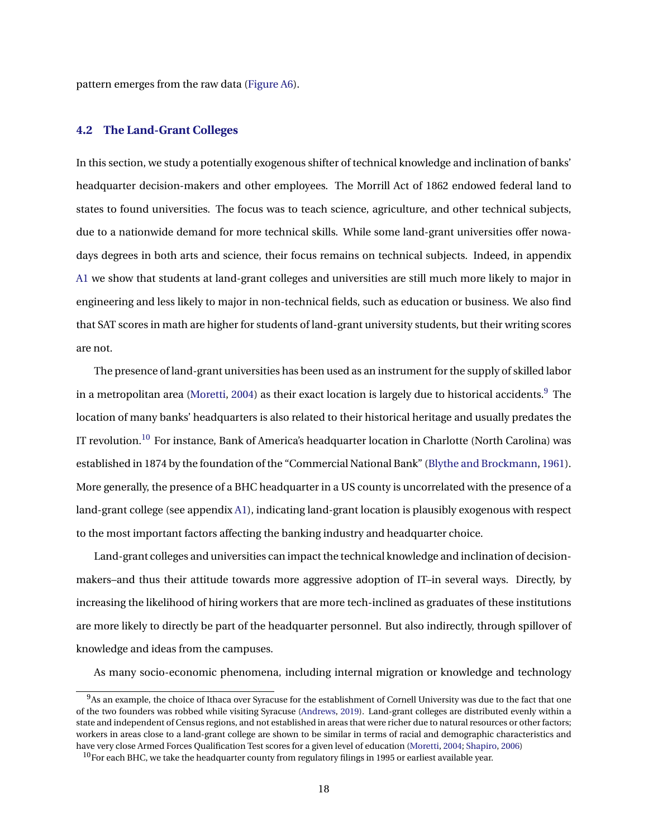pattern emerges from the raw data [\(Figure A6\)](#page-41-0).

# <span id="page-18-2"></span>**4.2 The Land-Grant Colleges**

In this section, we study a potentially exogenous shifter of technical knowledge and inclination of banks' headquarter decision-makers and other employees. The Morrill Act of 1862 endowed federal land to states to found universities. The focus was to teach science, agriculture, and other technical subjects, due to a nationwide demand for more technical skills. While some land-grant universities offer nowadays degrees in both arts and science, their focus remains on technical subjects. Indeed, in appendix [A1](#page-2-0) we show that students at land-grant colleges and universities are still much more likely to major in engineering and less likely to major in non-technical fields, such as education or business. We also find that SAT scores in math are higher for students of land-grant university students, but their writing scores are not.

The presence of land-grant universities has been used as an instrument for the supply of skilled labor in a metropolitan area [\(Moretti,](#page-26-14) [2004\)](#page-26-14) as their exact location is largely due to historical accidents.<sup>[9](#page-18-0)</sup> The location of many banks' headquarters is also related to their historical heritage and usually predates the IT revolution.<sup>[10](#page-18-1)</sup> For instance, Bank of America's headquarter location in Charlotte (North Carolina) was established in 1874 by the foundation of the "Commercial National Bank" [\(Blythe and Brockmann,](#page-24-17) [1961\)](#page-24-17). More generally, the presence of a BHC headquarter in a US county is uncorrelated with the presence of a land-grant college (see appendix [A1\)](#page-2-0), indicating land-grant location is plausibly exogenous with respect to the most important factors affecting the banking industry and headquarter choice.

Land-grant colleges and universities can impact the technical knowledge and inclination of decisionmakers–and thus their attitude towards more aggressive adoption of IT–in several ways. Directly, by increasing the likelihood of hiring workers that are more tech-inclined as graduates of these institutions are more likely to directly be part of the headquarter personnel. But also indirectly, through spillover of knowledge and ideas from the campuses.

As many socio-economic phenomena, including internal migration or knowledge and technology

<span id="page-18-0"></span> $9$ As an example, the choice of Ithaca over Syracuse for the establishment of Cornell University was due to the fact that one of the two founders was robbed while visiting Syracuse [\(Andrews,](#page-24-18) [2019\)](#page-24-18). Land-grant colleges are distributed evenly within a state and independent of Census regions, and not established in areas that were richer due to natural resources or other factors; workers in areas close to a land-grant college are shown to be similar in terms of racial and demographic characteristics and have very close Armed Forces Qualification Test scores for a given level of education [\(Moretti,](#page-26-14) [2004;](#page-26-14) [Shapiro,](#page-26-15) [2006\)](#page-26-15)

<span id="page-18-1"></span> $10$  For each BHC, we take the headquarter county from regulatory filings in 1995 or earliest available year.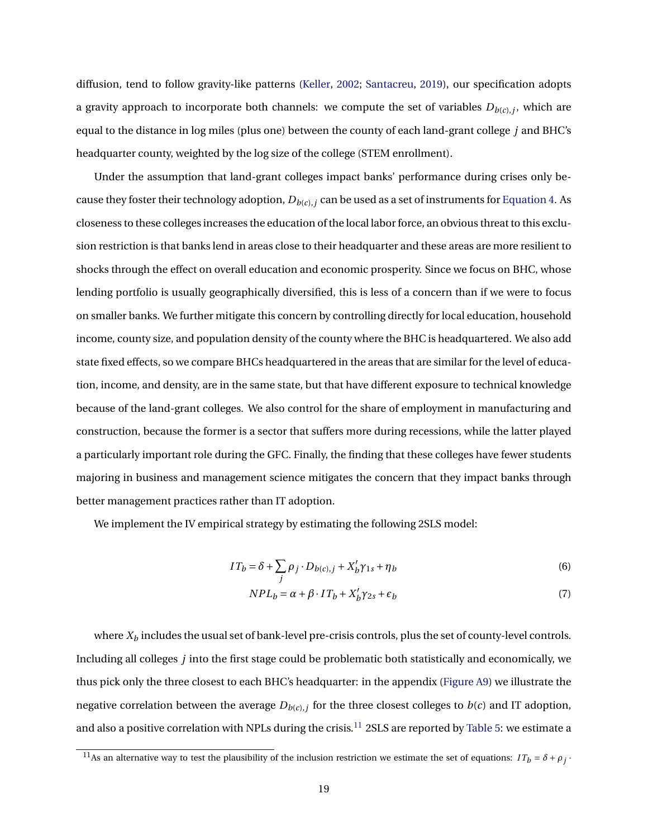diffusion, tend to follow gravity-like patterns [\(Keller,](#page-25-20) [2002;](#page-25-20) [Santacreu,](#page-26-16) [2019\)](#page-26-16), our specification adopts a gravity approach to incorporate both channels: we compute the set of variables  $D_{b(c),j}$ , which are equal to the distance in log miles (plus one) between the county of each land-grant college *j* and BHC's headquarter county, weighted by the log size of the college (STEM enrollment).

Under the assumption that land-grant colleges impact banks' performance during crises only because they foster their technology adoption, *Db*(*c*),*<sup>j</sup>* can be used as a set of instruments for [Equation 4.](#page-13-1) As closeness to these colleges increases the education of the local labor force, an obvious threat to this exclusion restriction is that banks lend in areas close to their headquarter and these areas are more resilient to shocks through the effect on overall education and economic prosperity. Since we focus on BHC, whose lending portfolio is usually geographically diversified, this is less of a concern than if we were to focus on smaller banks. We further mitigate this concern by controlling directly for local education, household income, county size, and population density of the county where the BHC is headquartered. We also add state fixed effects, so we compare BHCs headquartered in the areas that are similar for the level of education, income, and density, are in the same state, but that have different exposure to technical knowledge because of the land-grant colleges. We also control for the share of employment in manufacturing and construction, because the former is a sector that suffers more during recessions, while the latter played a particularly important role during the GFC. Finally, the finding that these colleges have fewer students majoring in business and management science mitigates the concern that they impact banks through better management practices rather than IT adoption.

We implement the IV empirical strategy by estimating the following 2SLS model:

$$
IT_b = \delta + \sum_j \rho_j \cdot D_{b(c),j} + X_b' \gamma_{1s} + \eta_b \tag{6}
$$

$$
NPL_b = \alpha + \beta \cdot IT_b + X_b' \gamma_{2s} + \epsilon_b \tag{7}
$$

where  $X_b$  includes the usual set of bank-level pre-crisis controls, plus the set of county-level controls. Including all colleges *j* into the first stage could be problematic both statistically and economically, we thus pick only the three closest to each BHC's headquarter: in the appendix [\(Figure A9\)](#page-42-0) we illustrate the negative correlation between the average  $D_{b(c),j}$  for the three closest colleges to  $b(c)$  and IT adoption, and also a positive correlation with NPLs during the crisis.<sup>[11](#page-19-0)</sup> 2SLS are reported by [Table 5:](#page-34-0) we estimate a

<span id="page-19-0"></span><sup>&</sup>lt;sup>11</sup>As an alternative way to test the plausibility of the inclusion restriction we estimate the set of equations:  $IT_b = \delta + \rho_j$ .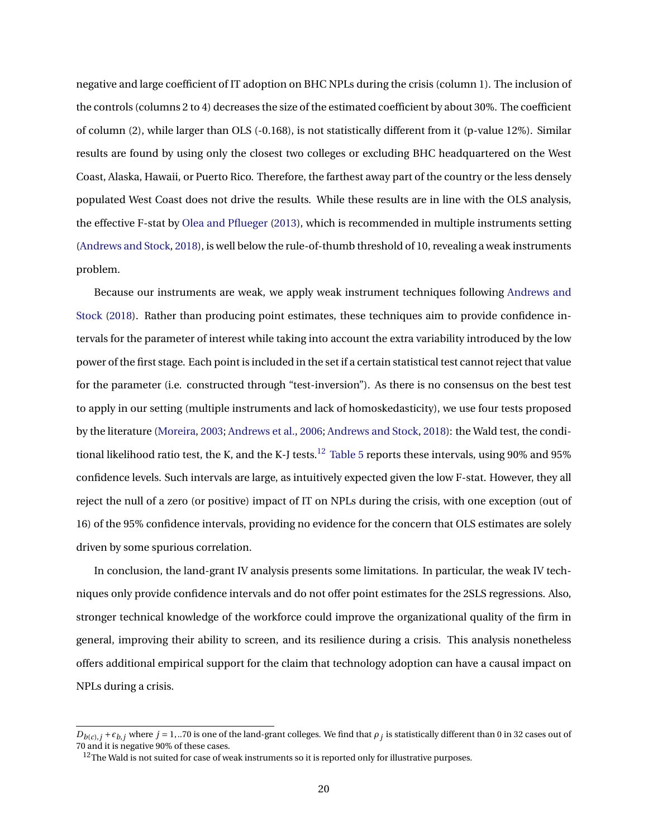negative and large coefficient of IT adoption on BHC NPLs during the crisis (column 1). The inclusion of the controls (columns 2 to 4) decreases the size of the estimated coefficient by about 30%. The coefficient of column (2), while larger than OLS (-0.168), is not statistically different from it (p-value 12%). Similar results are found by using only the closest two colleges or excluding BHC headquartered on the West Coast, Alaska, Hawaii, or Puerto Rico. Therefore, the farthest away part of the country or the less densely populated West Coast does not drive the results. While these results are in line with the OLS analysis, the effective F-stat by [Olea and Pflueger](#page-26-17) [\(2013\)](#page-26-17), which is recommended in multiple instruments setting [\(Andrews and Stock,](#page-24-6) [2018\)](#page-24-6), is well below the rule-of-thumb threshold of 10, revealing a weak instruments problem.

Because our instruments are weak, we apply weak instrument techniques following [Andrews and](#page-24-6) [Stock](#page-24-6) [\(2018\)](#page-24-6). Rather than producing point estimates, these techniques aim to provide confidence intervals for the parameter of interest while taking into account the extra variability introduced by the low power of the first stage. Each point is included in the set if a certain statistical test cannot reject that value for the parameter (i.e. constructed through "test-inversion"). As there is no consensus on the best test to apply in our setting (multiple instruments and lack of homoskedasticity), we use four tests proposed by the literature [\(Moreira,](#page-26-18) [2003;](#page-26-18) [Andrews et al.,](#page-24-19) [2006;](#page-24-19) [Andrews and Stock,](#page-24-6) [2018\)](#page-24-6): the Wald test, the condi-tional likelihood ratio test, the K, and the K-J tests.<sup>[12](#page-20-1)</sup> [Table 5](#page-34-0) reports these intervals, using 90% and 95% confidence levels. Such intervals are large, as intuitively expected given the low F-stat. However, they all reject the null of a zero (or positive) impact of IT on NPLs during the crisis, with one exception (out of 16) of the 95% confidence intervals, providing no evidence for the concern that OLS estimates are solely driven by some spurious correlation.

In conclusion, the land-grant IV analysis presents some limitations. In particular, the weak IV techniques only provide confidence intervals and do not offer point estimates for the 2SLS regressions. Also, stronger technical knowledge of the workforce could improve the organizational quality of the firm in general, improving their ability to screen, and its resilience during a crisis. This analysis nonetheless offers additional empirical support for the claim that technology adoption can have a causal impact on NPLs during a crisis.

<span id="page-20-0"></span> $D_{b(c),j}$  +  $\epsilon_{b,j}$  where  $j = 1,..70$  is one of the land-grant colleges. We find that  $\rho_j$  is statistically different than 0 in 32 cases out of 70 and it is negative 90% of these cases.

<span id="page-20-1"></span> $12$ The Wald is not suited for case of weak instruments so it is reported only for illustrative purposes.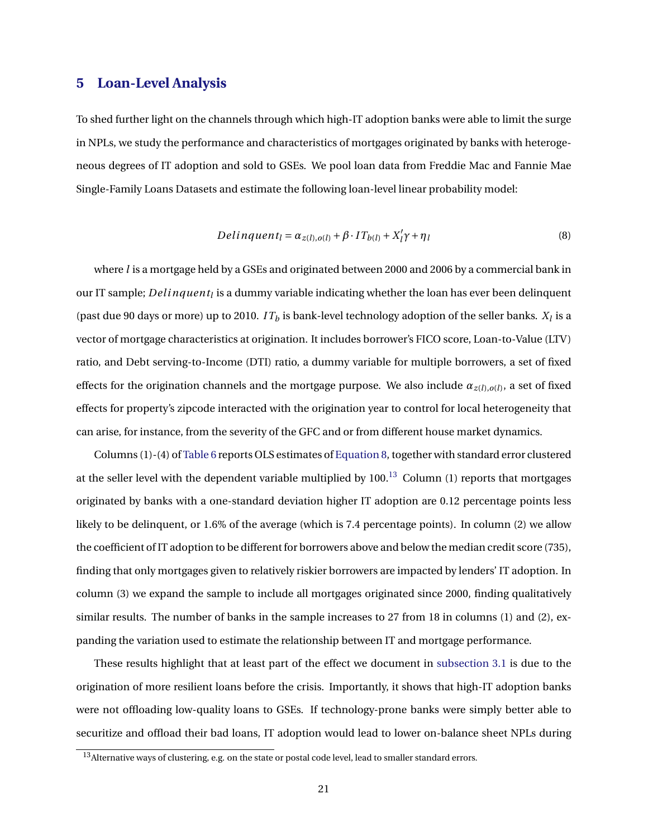# **5 Loan-Level Analysis**

To shed further light on the channels through which high-IT adoption banks were able to limit the surge in NPLs, we study the performance and characteristics of mortgages originated by banks with heterogeneous degrees of IT adoption and sold to GSEs. We pool loan data from Freddie Mac and Fannie Mae Single-Family Loans Datasets and estimate the following loan-level linear probability model:

<span id="page-21-0"></span>
$$
Delinquent_l = \alpha_{z(l),o(l)} + \beta \cdot IT_{b(l)} + X'_l \gamma + \eta_l
$$
\n(8)

where *l* is a mortgage held by a GSEs and originated between 2000 and 2006 by a commercial bank in our IT sample; *Del inquent<sup>l</sup>* is a dummy variable indicating whether the loan has ever been delinquent (past due 90 days or more) up to 2010.  $IT_b$  is bank-level technology adoption of the seller banks.  $X_l$  is a vector of mortgage characteristics at origination. It includes borrower's FICO score, Loan-to-Value (LTV) ratio, and Debt serving-to-Income (DTI) ratio, a dummy variable for multiple borrowers, a set of fixed effects for the origination channels and the mortgage purpose. We also include  $\alpha_{z(l),o(l)}$ , a set of fixed effects for property's zipcode interacted with the origination year to control for local heterogeneity that can arise, for instance, from the severity of the GFC and or from different house market dynamics.

Columns (1)-(4) of [Table 6](#page-35-0) reports OLS estimates of [Equation 8,](#page-21-0) together with standard error clustered at the seller level with the dependent variable multiplied by  $100<sup>13</sup>$  $100<sup>13</sup>$  $100<sup>13</sup>$  Column (1) reports that mortgages originated by banks with a one-standard deviation higher IT adoption are 0.12 percentage points less likely to be delinquent, or 1.6% of the average (which is 7.4 percentage points). In column (2) we allow the coefficient of IT adoption to be different for borrowers above and below the median credit score (735), finding that only mortgages given to relatively riskier borrowers are impacted by lenders' IT adoption. In column (3) we expand the sample to include all mortgages originated since 2000, finding qualitatively similar results. The number of banks in the sample increases to 27 from 18 in columns (1) and (2), expanding the variation used to estimate the relationship between IT and mortgage performance.

These results highlight that at least part of the effect we document in [subsection 3.1](#page-11-2) is due to the origination of more resilient loans before the crisis. Importantly, it shows that high-IT adoption banks were not offloading low-quality loans to GSEs. If technology-prone banks were simply better able to securitize and offload their bad loans, IT adoption would lead to lower on-balance sheet NPLs during

<span id="page-21-1"></span><sup>&</sup>lt;sup>13</sup> Alternative ways of clustering, e.g. on the state or postal code level, lead to smaller standard errors.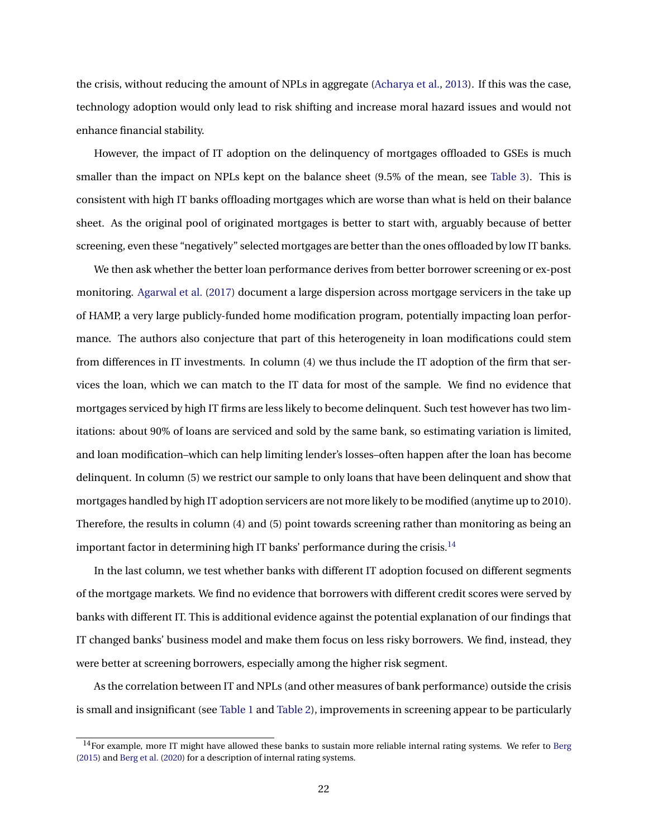the crisis, without reducing the amount of NPLs in aggregate [\(Acharya et al.,](#page-23-3) [2013\)](#page-23-3). If this was the case, technology adoption would only lead to risk shifting and increase moral hazard issues and would not enhance financial stability.

However, the impact of IT adoption on the delinquency of mortgages offloaded to GSEs is much smaller than the impact on NPLs kept on the balance sheet (9.5% of the mean, see [Table 3\)](#page-32-1). This is consistent with high IT banks offloading mortgages which are worse than what is held on their balance sheet. As the original pool of originated mortgages is better to start with, arguably because of better screening, even these "negatively" selected mortgages are better than the ones offloaded by low IT banks.

We then ask whether the better loan performance derives from better borrower screening or ex-post monitoring. [Agarwal et al.](#page-23-4) [\(2017\)](#page-23-4) document a large dispersion across mortgage servicers in the take up of HAMP, a very large publicly-funded home modification program, potentially impacting loan performance. The authors also conjecture that part of this heterogeneity in loan modifications could stem from differences in IT investments. In column (4) we thus include the IT adoption of the firm that services the loan, which we can match to the IT data for most of the sample. We find no evidence that mortgages serviced by high IT firms are less likely to become delinquent. Such test however has two limitations: about 90% of loans are serviced and sold by the same bank, so estimating variation is limited, and loan modification–which can help limiting lender's losses–often happen after the loan has become delinquent. In column (5) we restrict our sample to only loans that have been delinquent and show that mortgages handled by high IT adoption servicers are not more likely to be modified (anytime up to 2010). Therefore, the results in column (4) and (5) point towards screening rather than monitoring as being an important factor in determining high IT banks' performance during the crisis.<sup>[14](#page-22-0)</sup>

In the last column, we test whether banks with different IT adoption focused on different segments of the mortgage markets. We find no evidence that borrowers with different credit scores were served by banks with different IT. This is additional evidence against the potential explanation of our findings that IT changed banks' business model and make them focus on less risky borrowers. We find, instead, they were better at screening borrowers, especially among the higher risk segment.

As the correlation between IT and NPLs (and other measures of bank performance) outside the crisis is small and insignificant (see [Table 1](#page-31-0) and [Table 2\)](#page-32-0), improvements in screening appear to be particularly

<span id="page-22-0"></span> $14$  For example, more IT might have allowed these banks to sustain more reliable internal rating systems. We refer to [Berg](#page-24-20) [\(2015\)](#page-24-20) and [Berg et al.](#page-24-21) [\(2020\)](#page-24-21) for a description of internal rating systems.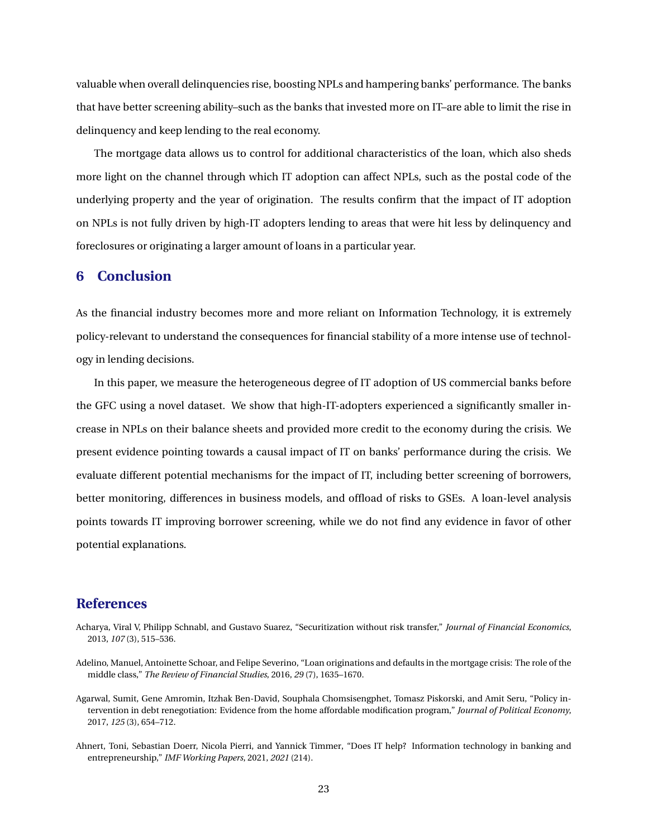valuable when overall delinquencies rise, boosting NPLs and hampering banks' performance. The banks that have better screening ability–such as the banks that invested more on IT–are able to limit the rise in delinquency and keep lending to the real economy.

The mortgage data allows us to control for additional characteristics of the loan, which also sheds more light on the channel through which IT adoption can affect NPLs, such as the postal code of the underlying property and the year of origination. The results confirm that the impact of IT adoption on NPLs is not fully driven by high-IT adopters lending to areas that were hit less by delinquency and foreclosures or originating a larger amount of loans in a particular year.

# <span id="page-23-0"></span>**6 Conclusion**

As the financial industry becomes more and more reliant on Information Technology, it is extremely policy-relevant to understand the consequences for financial stability of a more intense use of technology in lending decisions.

In this paper, we measure the heterogeneous degree of IT adoption of US commercial banks before the GFC using a novel dataset. We show that high-IT-adopters experienced a significantly smaller increase in NPLs on their balance sheets and provided more credit to the economy during the crisis. We present evidence pointing towards a causal impact of IT on banks' performance during the crisis. We evaluate different potential mechanisms for the impact of IT, including better screening of borrowers, better monitoring, differences in business models, and offload of risks to GSEs. A loan-level analysis points towards IT improving borrower screening, while we do not find any evidence in favor of other potential explanations.

# **References**

- <span id="page-23-3"></span>Acharya, Viral V, Philipp Schnabl, and Gustavo Suarez, "Securitization without risk transfer," *Journal of Financial Economics*, 2013, *107* (3), 515–536.
- <span id="page-23-1"></span>Adelino, Manuel, Antoinette Schoar, and Felipe Severino, "Loan originations and defaults in the mortgage crisis: The role of the middle class," *The Review of Financial Studies*, 2016, *29* (7), 1635–1670.
- <span id="page-23-4"></span>Agarwal, Sumit, Gene Amromin, Itzhak Ben-David, Souphala Chomsisengphet, Tomasz Piskorski, and Amit Seru, "Policy intervention in debt renegotiation: Evidence from the home affordable modification program," *Journal of Political Economy*, 2017, *125* (3), 654–712.
- <span id="page-23-2"></span>Ahnert, Toni, Sebastian Doerr, Nicola Pierri, and Yannick Timmer, "Does IT help? Information technology in banking and entrepreneurship," *IMF Working Papers*, 2021, *2021* (214).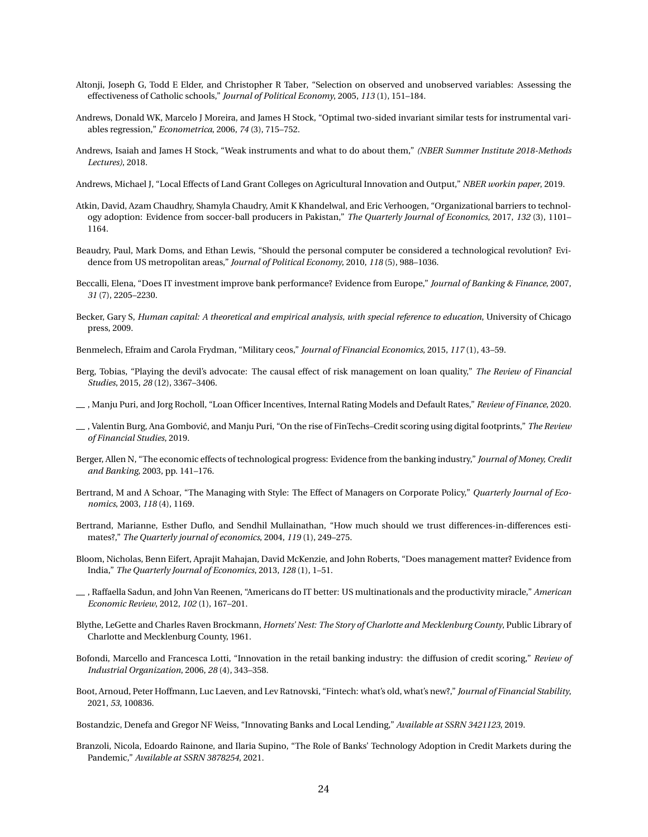- <span id="page-24-5"></span>Altonji, Joseph G, Todd E Elder, and Christopher R Taber, "Selection on observed and unobserved variables: Assessing the effectiveness of Catholic schools," *Journal of Political Economy*, 2005, *113* (1), 151–184.
- <span id="page-24-19"></span>Andrews, Donald WK, Marcelo J Moreira, and James H Stock, "Optimal two-sided invariant similar tests for instrumental variables regression," *Econometrica*, 2006, *74* (3), 715–752.
- <span id="page-24-6"></span>Andrews, Isaiah and James H Stock, "Weak instruments and what to do about them," *(NBER Summer Institute 2018-Methods Lectures)*, 2018.
- <span id="page-24-18"></span>Andrews, Michael J, "Local Effects of Land Grant Colleges on Agricultural Innovation and Output," *NBER workin paper*, 2019.
- <span id="page-24-15"></span>Atkin, David, Azam Chaudhry, Shamyla Chaudry, Amit K Khandelwal, and Eric Verhoogen, "Organizational barriers to technology adoption: Evidence from soccer-ball producers in Pakistan," *The Quarterly Journal of Economics*, 2017, *132* (3), 1101– 1164.
- <span id="page-24-3"></span>Beaudry, Paul, Mark Doms, and Ethan Lewis, "Should the personal computer be considered a technological revolution? Evidence from US metropolitan areas," *Journal of Political Economy*, 2010, *118* (5), 988–1036.
- <span id="page-24-13"></span>Beccalli, Elena, "Does IT investment improve bank performance? Evidence from Europe," *Journal of Banking & Finance*, 2007, *31* (7), 2205–2230.
- <span id="page-24-4"></span>Becker, Gary S, *Human capital: A theoretical and empirical analysis, with special reference to education*, University of Chicago press, 2009.
- <span id="page-24-7"></span>Benmelech, Efraim and Carola Frydman, "Military ceos," *Journal of Financial Economics*, 2015, *117* (1), 43–59.
- <span id="page-24-20"></span>Berg, Tobias, "Playing the devil's advocate: The causal effect of risk management on loan quality," *The Review of Financial Studies*, 2015, *28* (12), 3367–3406.
- <span id="page-24-21"></span>, Manju Puri, and Jorg Rocholl, "Loan Officer Incentives, Internal Rating Models and Default Rates," *Review of Finance*, 2020.
- <span id="page-24-1"></span>, Valentin Burg, Ana Gombovi´c, and Manju Puri, "On the rise of FinTechs–Credit scoring using digital footprints," *The Review of Financial Studies*, 2019.
- <span id="page-24-8"></span>Berger, Allen N, "The economic effects of technological progress: Evidence from the banking industry," *Journal of Money, Credit and Banking*, 2003, pp. 141–176.
- <span id="page-24-16"></span>Bertrand, M and A Schoar, "The Managing with Style: The Effect of Managers on Corporate Policy," *Quarterly Journal of Economics*, 2003, *118* (4), 1169.
- <span id="page-24-12"></span>Bertrand, Marianne, Esther Duflo, and Sendhil Mullainathan, "How much should we trust differences-in-differences estimates?," *The Quarterly journal of economics*, 2004, *119* (1), 249–275.
- <span id="page-24-14"></span>Bloom, Nicholas, Benn Eifert, Aprajit Mahajan, David McKenzie, and John Roberts, "Does management matter? Evidence from India," *The Quarterly Journal of Economics*, 2013, *128* (1), 1–51.
- <span id="page-24-2"></span>, Raffaella Sadun, and John Van Reenen, "Americans do IT better: US multinationals and the productivity miracle," *American Economic Review*, 2012, *102* (1), 167–201.
- <span id="page-24-17"></span>Blythe, LeGette and Charles Raven Brockmann, *Hornets' Nest: The Story of Charlotte and Mecklenburg County*, Public Library of Charlotte and Mecklenburg County, 1961.
- <span id="page-24-9"></span>Bofondi, Marcello and Francesca Lotti, "Innovation in the retail banking industry: the diffusion of credit scoring," *Review of Industrial Organization*, 2006, *28* (4), 343–358.
- <span id="page-24-0"></span>Boot, Arnoud, Peter Hoffmann, Luc Laeven, and Lev Ratnovski, "Fintech: what's old, what's new?," *Journal of Financial Stability*, 2021, *53*, 100836.
- <span id="page-24-10"></span>Bostandzic, Denefa and Gregor NF Weiss, "Innovating Banks and Local Lending," *Available at SSRN 3421123*, 2019.
- <span id="page-24-11"></span>Branzoli, Nicola, Edoardo Rainone, and Ilaria Supino, "The Role of Banks' Technology Adoption in Credit Markets during the Pandemic," *Available at SSRN 3878254*, 2021.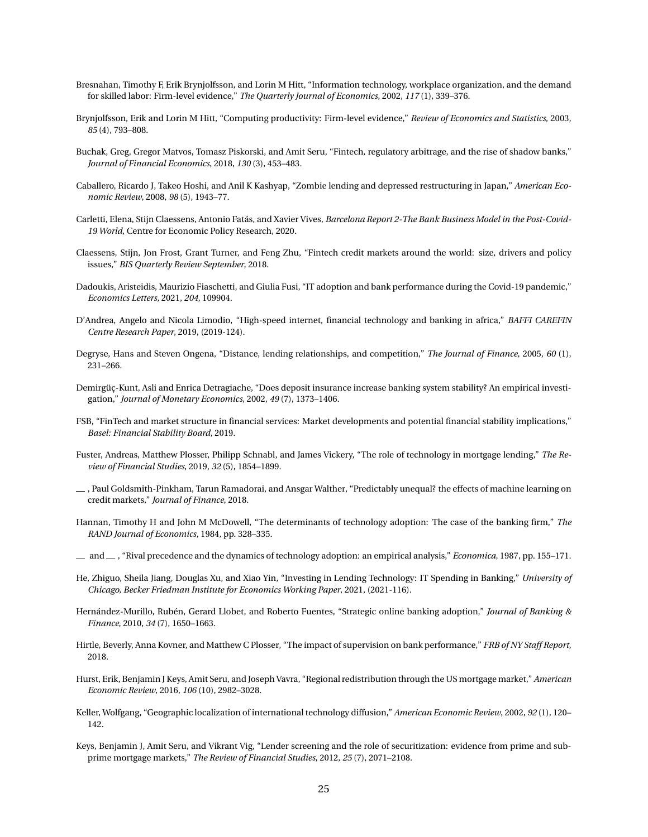- <span id="page-25-6"></span>Bresnahan, Timothy F, Erik Brynjolfsson, and Lorin M Hitt, "Information technology, workplace organization, and the demand for skilled labor: Firm-level evidence," *The Quarterly Journal of Economics*, 2002, *117* (1), 339–376.
- <span id="page-25-7"></span>Brynjolfsson, Erik and Lorin M Hitt, "Computing productivity: Firm-level evidence," *Review of Economics and Statistics*, 2003, *85* (4), 793–808.
- <span id="page-25-12"></span>Buchak, Greg, Gregor Matvos, Tomasz Piskorski, and Amit Seru, "Fintech, regulatory arbitrage, and the rise of shadow banks," *Journal of Financial Economics*, 2018, *130* (3), 453–483.
- <span id="page-25-5"></span>Caballero, Ricardo J, Takeo Hoshi, and Anil K Kashyap, "Zombie lending and depressed restructuring in Japan," *American Economic Review*, 2008, *98* (5), 1943–77.
- <span id="page-25-2"></span>Carletti, Elena, Stijn Claessens, Antonio Fatás, and Xavier Vives, *Barcelona Report 2-The Bank Business Model in the Post-Covid-19 World*, Centre for Economic Policy Research, 2020.
- <span id="page-25-0"></span>Claessens, Stijn, Jon Frost, Grant Turner, and Feng Zhu, "Fintech credit markets around the world: size, drivers and policy issues," *BIS Quarterly Review September*, 2018.
- <span id="page-25-15"></span>Dadoukis, Aristeidis, Maurizio Fiaschetti, and Giulia Fusi, "IT adoption and bank performance during the Covid-19 pandemic," *Economics Letters*, 2021, *204*, 109904.
- <span id="page-25-13"></span>D'Andrea, Angelo and Nicola Limodio, "High-speed internet, financial technology and banking in africa," *BAFFI CAREFIN Centre Research Paper*, 2019, (2019-124).
- <span id="page-25-16"></span>Degryse, Hans and Steven Ongena, "Distance, lending relationships, and competition," *The Journal of Finance*, 2005, *60* (1), 231–266.
- <span id="page-25-4"></span>Demirgüç-Kunt, Asli and Enrica Detragiache, "Does deposit insurance increase banking system stability? An empirical investigation," *Journal of Monetary Economics*, 2002, *49* (7), 1373–1406.
- <span id="page-25-1"></span>FSB, "FinTech and market structure in financial services: Market developments and potential financial stability implications," *Basel: Financial Stability Board*, 2019.
- <span id="page-25-3"></span>Fuster, Andreas, Matthew Plosser, Philipp Schnabl, and James Vickery, "The role of technology in mortgage lending," *The Review of Financial Studies*, 2019, *32* (5), 1854–1899.
- <span id="page-25-11"></span>, Paul Goldsmith-Pinkham, Tarun Ramadorai, and Ansgar Walther, "Predictably unequal? the effects of machine learning on credit markets," *Journal of Finance*, 2018.
- <span id="page-25-19"></span>Hannan, Timothy H and John M McDowell, "The determinants of technology adoption: The case of the banking firm," *The RAND Journal of Economics*, 1984, pp. 328–335.
- <span id="page-25-8"></span>and , "Rival precedence and the dynamics of technology adoption: an empirical analysis," *Economica*, 1987, pp. 155–171.
- <span id="page-25-14"></span>He, Zhiguo, Sheila Jiang, Douglas Xu, and Xiao Yin, "Investing in Lending Technology: IT Spending in Banking," *University of Chicago, Becker Friedman Institute for Economics Working Paper*, 2021, (2021-116).
- <span id="page-25-9"></span>Hernández-Murillo, Rubén, Gerard Llobet, and Roberto Fuentes, "Strategic online banking adoption," *Journal of Banking & Finance*, 2010, *34* (7), 1650–1663.
- <span id="page-25-17"></span>Hirtle, Beverly, Anna Kovner, and Matthew C Plosser, "The impact of supervision on bank performance," *FRB of NY Staff Report*, 2018.
- <span id="page-25-18"></span>Hurst, Erik, Benjamin J Keys, Amit Seru, and Joseph Vavra, "Regional redistribution through the US mortgage market," *American Economic Review*, 2016, *106* (10), 2982–3028.
- <span id="page-25-20"></span>Keller, Wolfgang, "Geographic localization of international technology diffusion," *American Economic Review*, 2002, *92* (1), 120– 142.
- <span id="page-25-10"></span>Keys, Benjamin J, Amit Seru, and Vikrant Vig, "Lender screening and the role of securitization: evidence from prime and subprime mortgage markets," *The Review of Financial Studies*, 2012, *25* (7), 2071–2108.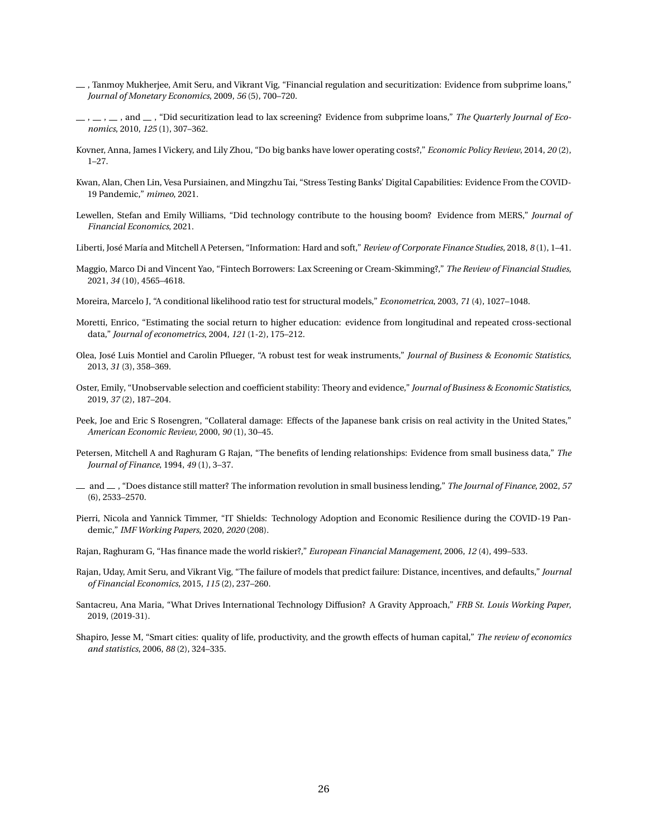- <span id="page-26-7"></span> $-$ , Tanmoy Mukherjee, Amit Seru, and Vikrant Vig, "Financial regulation and securitization: Evidence from subprime loans," *Journal of Monetary Economics*, 2009, *56* (5), 700–720.
- <span id="page-26-8"></span> $, \ldots, \ldots,$  and  $\ldots$ , "Did securitization lead to lax screening? Evidence from subprime loans," The Quarterly Journal of Eco*nomics*, 2010, *125* (1), 307–362.
- <span id="page-26-13"></span>Kovner, Anna, James I Vickery, and Lily Zhou, "Do big banks have lower operating costs?," *Economic Policy Review*, 2014, *20* (2), 1–27.
- <span id="page-26-9"></span>Kwan, Alan, Chen Lin, Vesa Pursiainen, and Mingzhu Tai, "Stress Testing Banks' Digital Capabilities: Evidence From the COVID-19 Pandemic," *mimeo*, 2021.
- <span id="page-26-5"></span>Lewellen, Stefan and Emily Williams, "Did technology contribute to the housing boom? Evidence from MERS," *Journal of Financial Economics*, 2021.
- <span id="page-26-1"></span>Liberti, José María and Mitchell A Petersen, "Information: Hard and soft," *Review of Corporate Finance Studies*, 2018, *8* (1), 1–41.
- <span id="page-26-0"></span>Maggio, Marco Di and Vincent Yao, "Fintech Borrowers: Lax Screening or Cream-Skimming?," *The Review of Financial Studies*, 2021, *34* (10), 4565–4618.
- <span id="page-26-18"></span>Moreira, Marcelo J, "A conditional likelihood ratio test for structural models," *Econometrica*, 2003, *71* (4), 1027–1048.
- <span id="page-26-14"></span>Moretti, Enrico, "Estimating the social return to higher education: evidence from longitudinal and repeated cross-sectional data," *Journal of econometrics*, 2004, *121* (1-2), 175–212.
- <span id="page-26-17"></span>Olea, José Luis Montiel and Carolin Pflueger, "A robust test for weak instruments," *Journal of Business & Economic Statistics*, 2013, *31* (3), 358–369.
- <span id="page-26-6"></span>Oster, Emily, "Unobservable selection and coefficient stability: Theory and evidence," *Journal of Business & Economic Statistics*, 2019, *37* (2), 187–204.
- <span id="page-26-4"></span>Peek, Joe and Eric S Rosengren, "Collateral damage: Effects of the Japanese bank crisis on real activity in the United States," *American Economic Review*, 2000, *90* (1), 30–45.
- <span id="page-26-12"></span>Petersen, Mitchell A and Raghuram G Rajan, "The benefits of lending relationships: Evidence from small business data," *The Journal of Finance*, 1994, *49* (1), 3–37.
- <span id="page-26-11"></span>and , "Does distance still matter? The information revolution in small business lending," *The Journal of Finance*, 2002, *57* (6), 2533–2570.
- <span id="page-26-10"></span>Pierri, Nicola and Yannick Timmer, "IT Shields: Technology Adoption and Economic Resilience during the COVID-19 Pandemic," *IMF Working Papers*, 2020, *2020* (208).
- <span id="page-26-2"></span>Rajan, Raghuram G, "Has finance made the world riskier?," *European Financial Management*, 2006, *12* (4), 499–533.
- <span id="page-26-3"></span>Rajan, Uday, Amit Seru, and Vikrant Vig, "The failure of models that predict failure: Distance, incentives, and defaults," *Journal of Financial Economics*, 2015, *115* (2), 237–260.
- <span id="page-26-16"></span>Santacreu, Ana Maria, "What Drives International Technology Diffusion? A Gravity Approach," *FRB St. Louis Working Paper*, 2019, (2019-31).
- <span id="page-26-15"></span>Shapiro, Jesse M, "Smart cities: quality of life, productivity, and the growth effects of human capital," *The review of economics and statistics*, 2006, *88* (2), 324–335.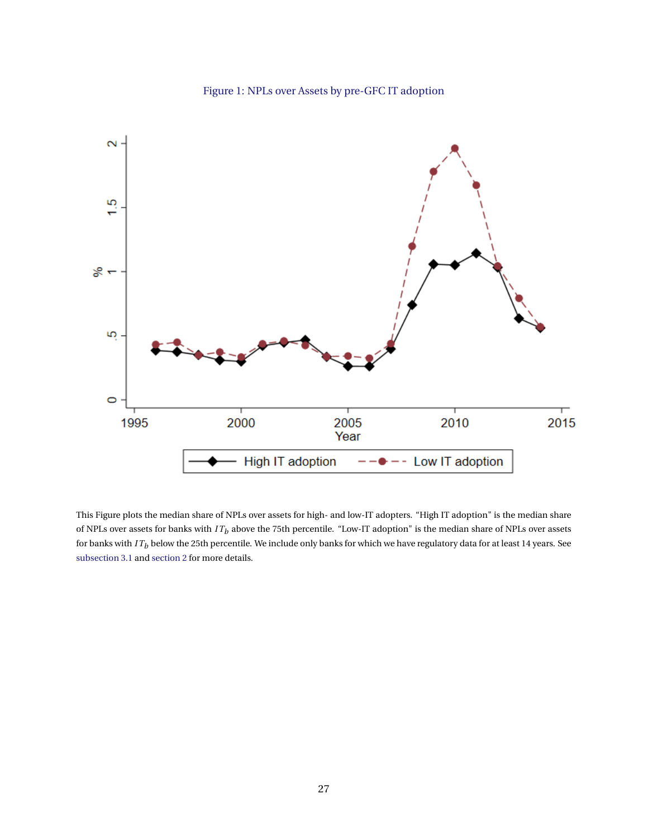

<span id="page-27-0"></span>

This Figure plots the median share of NPLs over assets for high- and low-IT adopters. "High IT adoption" is the median share of NPLs over assets for banks with *I T<sup>b</sup>* above the 75th percentile. "Low-IT adoption" is the median share of NPLs over assets for banks with *I T<sup>b</sup>* below the 25th percentile. We include only banks for which we have regulatory data for at least 14 years. See [subsection 3.1](#page-11-2) and [section 2](#page-7-0) for more details.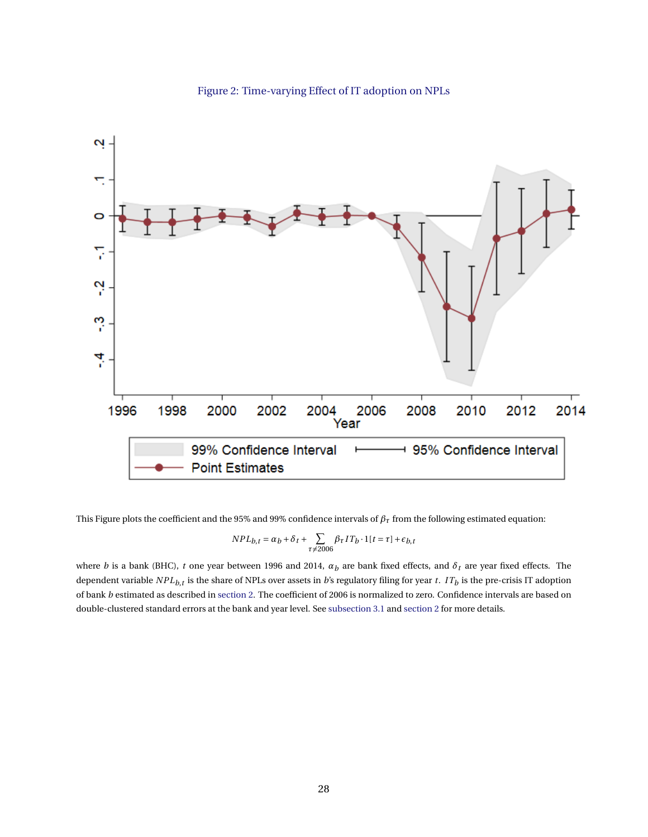<span id="page-28-0"></span>

# Figure 2: Time-varying Effect of IT adoption on NPLs

This Figure plots the coefficient and the 95% and 99% confidence intervals of  $\beta<sub>\tau</sub>$  from the following estimated equation:

$$
NPL_{b,t} = \alpha_b + \delta_t + \sum_{\tau \neq 2006} \beta_{\tau} IT_b \cdot 1[t=\tau] + \epsilon_{b,t}
$$

where *b* is a bank (BHC), *t* one year between 1996 and 2014, *α<sup>b</sup>* are bank fixed effects, and *δ<sup>t</sup>* are year fixed effects. The dependent variable  $NPL_{b,t}$  is the share of NPLs over assets in  $b$ 's regulatory filing for year  $t.$   $\ IT_b$  is the pre-crisis IT adoption of bank *b* estimated as described in [section 2.](#page-7-0) The coefficient of 2006 is normalized to zero. Confidence intervals are based on double-clustered standard errors at the bank and year level. See [subsection 3.1](#page-11-2) and [section 2](#page-7-0) for more details.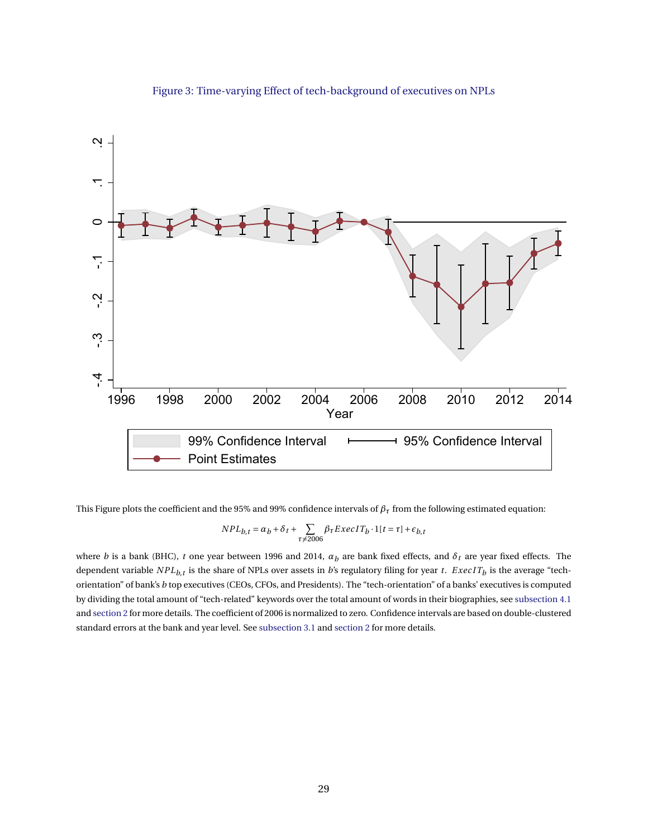<span id="page-29-0"></span>

#### Figure 3: Time-varying Effect of tech-background of executives on NPLs

This Figure plots the coefficient and the 95% and 99% confidence intervals of  $\beta<sub>\tau</sub>$  from the following estimated equation:

$$
NPL_{b,t} = \alpha_b + \delta_t + \sum_{\tau \neq 2006} \beta_\tau E \, xec \, IT_b \cdot 1[t = \tau] + \epsilon_{b,t}
$$

where *b* is a bank (BHC), *t* one year between 1996 and 2014, *α<sup>b</sup>* are bank fixed effects, and *δ<sup>t</sup>* are year fixed effects. The dependent variable  $NPL_{b,t}$  is the share of NPLs over assets in *b*'s regulatory filing for year *t. ExecIT<sub>b</sub>* is the average "techorientation" of bank's *b* top executives (CEOs, CFOs, and Presidents). The "tech-orientation" of a banks' executives is computed by dividing the total amount of "tech-related" keywords over the total amount of words in their biographies, see [subsection 4.1](#page-16-1) and [section 2](#page-7-0) for more details. The coefficient of 2006 is normalized to zero. Confidence intervals are based on double-clustered standard errors at the bank and year level. See [subsection 3.1](#page-11-2) and [section 2](#page-7-0) for more details.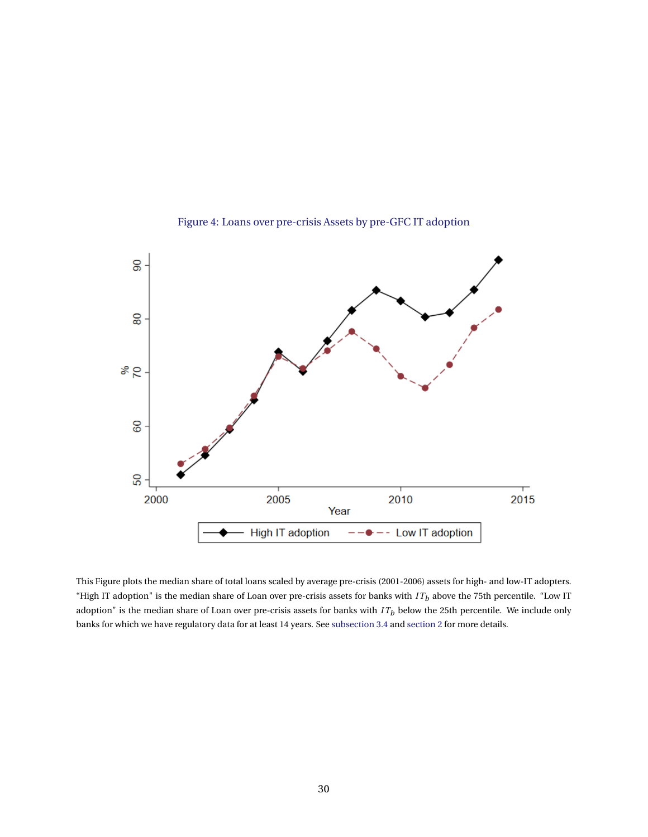<span id="page-30-0"></span>

Figure 4: Loans over pre-crisis Assets by pre-GFC IT adoption

This Figure plots the median share of total loans scaled by average pre-crisis (2001-2006) assets for high- and low-IT adopters. "High IT adoption" is the median share of Loan over pre-crisis assets for banks with *I T<sup>b</sup>* above the 75th percentile. "Low IT adoption" is the median share of Loan over pre-crisis assets for banks with *I T<sup>b</sup>* below the 25th percentile. We include only banks for which we have regulatory data for at least 14 years. See [subsection 3.4](#page-15-0) and [section 2](#page-7-0) for more details.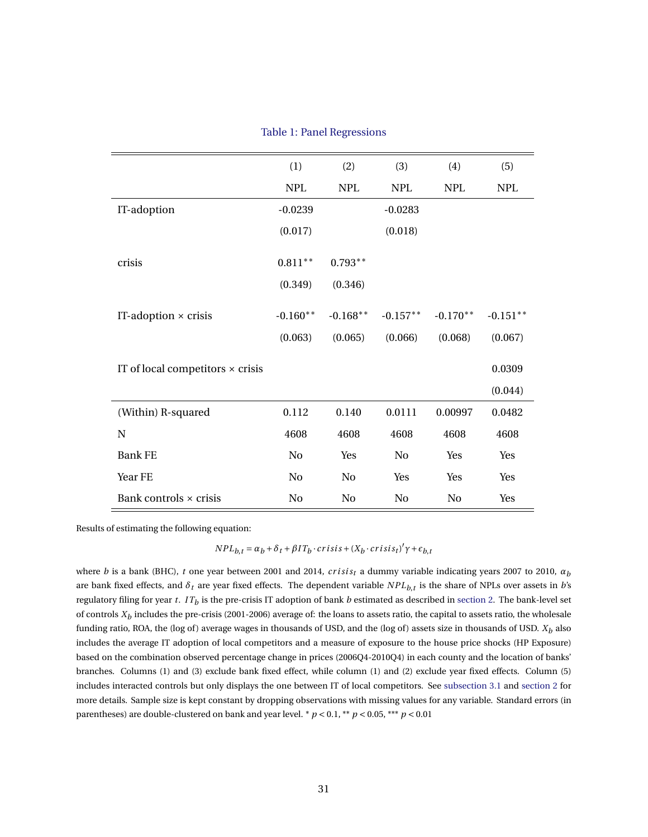|  | <b>Table 1: Panel Regressions</b> |
|--|-----------------------------------|
|  |                                   |

<span id="page-31-0"></span>

|                                         | (1)            | (2)        | (3)            | (4)        | (5)        |
|-----------------------------------------|----------------|------------|----------------|------------|------------|
|                                         | <b>NPL</b>     | <b>NPL</b> | <b>NPL</b>     | <b>NPL</b> | <b>NPL</b> |
| IT-adoption                             | $-0.0239$      |            | $-0.0283$      |            |            |
|                                         | (0.017)        |            | (0.018)        |            |            |
|                                         |                |            |                |            |            |
| crisis                                  | $0.811***$     | $0.793**$  |                |            |            |
|                                         | (0.349)        | (0.346)    |                |            |            |
|                                         |                |            |                |            |            |
| IT-adoption $\times$ crisis             | $-0.160**$     | $-0.168**$ | $-0.157**$     | $-0.170**$ | $-0.151**$ |
|                                         | (0.063)        | (0.065)    | (0.066)        | (0.068)    | (0.067)    |
|                                         |                |            |                |            | 0.0309     |
| IT of local competitors $\times$ crisis |                |            |                |            |            |
|                                         |                |            |                |            | (0.044)    |
| (Within) R-squared                      | 0.112          | 0.140      | 0.0111         | 0.00997    | 0.0482     |
| N                                       | 4608           | 4608       | 4608           | 4608       | 4608       |
| <b>Bank FE</b>                          | No             | Yes        | N <sub>0</sub> | Yes        | Yes        |
| Year FE                                 | N <sub>0</sub> | No         | Yes            | Yes        | Yes        |
| Bank controls × crisis                  | N <sub>0</sub> | No         | N <sub>0</sub> | No         | Yes        |

Results of estimating the following equation:

*NPL*<sub>*b*</sub>,*t* =  $\alpha$ <sup>*b*</sup> +  $\delta$ *t* +  $\beta$ *ITb***·** *crisis* + (*Xb***·***crisis<sub>t</sub></sub>)<sup></sup>* $γ$  *+*  $ε$ *<sub><i>b*</sub>,*t* 

where *b* is a bank (BHC), *t* one year between 2001 and 2014, *crisis<sub>t</sub>* a dummy variable indicating years 2007 to 2010,  $\alpha_b$ are bank fixed effects, and *δ<sup>t</sup>* are year fixed effects. The dependent variable *NPLb*,*<sup>t</sup>* is the share of NPLs over assets in *b*'s regulatory filing for year *t.*  $IT_b$  is the pre-crisis IT adoption of bank  $b$  estimated as described in [section 2.](#page-7-0) The bank-level set of controls *X<sup>b</sup>* includes the pre-crisis (2001-2006) average of: the loans to assets ratio, the capital to assets ratio, the wholesale funding ratio, ROA, the (log of ) average wages in thousands of USD, and the (log of ) assets size in thousands of USD. *X<sup>b</sup>* also includes the average IT adoption of local competitors and a measure of exposure to the house price shocks (HP Exposure) based on the combination observed percentage change in prices (2006Q4-2010Q4) in each county and the location of banks' branches. Columns (1) and (3) exclude bank fixed effect, while column (1) and (2) exclude year fixed effects. Column (5) includes interacted controls but only displays the one between IT of local competitors. See [subsection 3.1](#page-11-2) and [section 2](#page-7-0) for more details. Sample size is kept constant by dropping observations with missing values for any variable. Standard errors (in parentheses) are double-clustered on bank and year level.  $p < 0.1$ ,  $\binom{1}{r}$   $p < 0.05$ ,  $\binom{2}{r}$   $p < 0.01$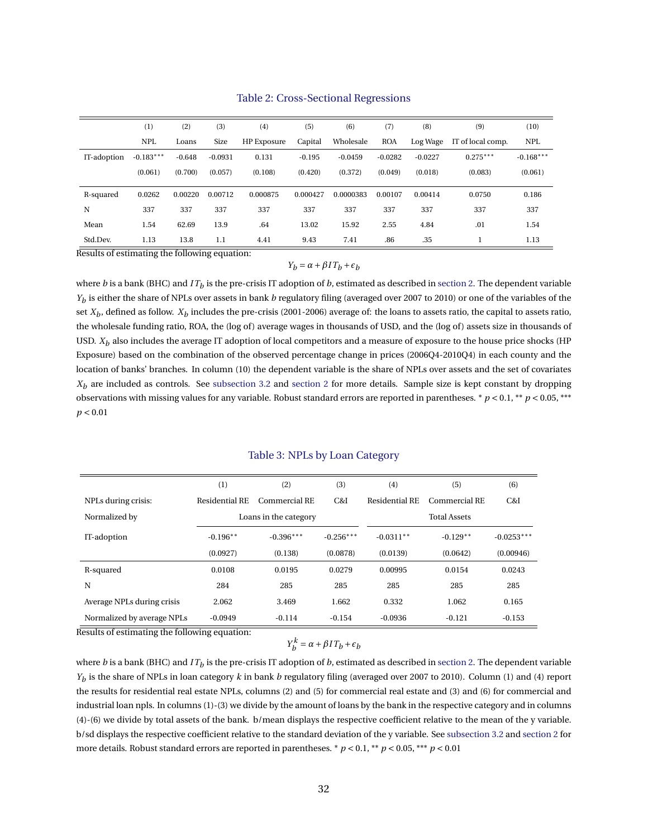<span id="page-32-0"></span>

|             | (1)         | (2)      | (3)       | (4)         | (5)      | (6)       | (7)        | (8)       | (9)               | (10)        |
|-------------|-------------|----------|-----------|-------------|----------|-----------|------------|-----------|-------------------|-------------|
|             | <b>NPL</b>  | Loans    | Size      | HP Exposure | Capital  | Wholesale | <b>ROA</b> | Log Wage  | IT of local comp. | <b>NPL</b>  |
| IT-adoption | $-0.183***$ | $-0.648$ | $-0.0931$ | 0.131       | $-0.195$ | $-0.0459$ | $-0.0282$  | $-0.0227$ | $0.275***$        | $-0.168***$ |
|             | (0.061)     | (0.700)  | (0.057)   | (0.108)     | (0.420)  | (0.372)   | (0.049)    | (0.018)   | (0.083)           | (0.061)     |
| R-squared   | 0.0262      | 0.00220  | 0.00712   | 0.000875    | 0.000427 | 0.0000383 | 0.00107    | 0.00414   | 0.0750            | 0.186       |
| N           | 337         | 337      | 337       | 337         | 337      | 337       | 337        | 337       | 337               | 337         |
| Mean        | 1.54        | 62.69    | 13.9      | .64         | 13.02    | 15.92     | 2.55       | 4.84      | .01               | 1.54        |
| Std.Dev.    | 1.13        | 13.8     | 1.1       | 4.41        | 9.43     | 7.41      | .86        | .35       |                   | 1.13        |

#### Table 2: Cross-Sectional Regressions

Results of estimating the following equation:

#### *Y*<sub>*b*</sub> =  $\alpha$  +  $\beta$ *I*  $T$ <sub>*b*</sub> +  $\epsilon$ <sub>*b*</sub>

where  $b$  is a bank (BHC) and  $IT_b$  is the pre-crisis IT adoption of  $b$ , estimated as described in [section 2.](#page-7-0) The dependent variable *Yb* is either the share of NPLs over assets in bank *b* regulatory filing (averaged over 2007 to 2010) or one of the variables of the set  $X_b$ , defined as follow.  $X_b$  includes the pre-crisis (2001-2006) average of: the loans to assets ratio, the capital to assets ratio, the wholesale funding ratio, ROA, the (log of) average wages in thousands of USD, and the (log of) assets size in thousands of USD.  $X_b$  also includes the average IT adoption of local competitors and a measure of exposure to the house price shocks (HP Exposure) based on the combination of the observed percentage change in prices (2006Q4-2010Q4) in each county and the location of banks' branches. In column (10) the dependent variable is the share of NPLs over assets and the set of covariates  $X_b$  are included as controls. See [subsection 3.2](#page-13-2) and [section 2](#page-7-0) for more details. Sample size is kept constant by dropping observations with missing values for any variable. Robust standard errors are reported in parentheses. \* *p* < 0.1, \*\* *p* < 0.05, \*\*\* *p* < 0.01

#### Table 3: NPLs by Loan Category

<span id="page-32-1"></span>

|                            | (1)            | (2)                   | (3)         | (4)            | (5)                 | (6)          |
|----------------------------|----------------|-----------------------|-------------|----------------|---------------------|--------------|
| NPLs during crisis:        | Residential RE | Commercial RE         | C&I         | Residential RE | Commercial RE       | C&I          |
| Normalized by              |                | Loans in the category |             |                | <b>Total Assets</b> |              |
| IT-adoption                | $-0.196**$     | $-0.396***$           | $-0.256***$ | $-0.0311**$    | $-0.129**$          | $-0.0253***$ |
|                            | (0.0927)       | (0.138)               | (0.0878)    | (0.0139)       | (0.0642)            | (0.00946)    |
| R-squared                  | 0.0108         | 0.0195                | 0.0279      | 0.00995        | 0.0154              | 0.0243       |
| N                          | 284            | 285                   | 285         | 285            | 285                 | 285          |
| Average NPLs during crisis | 2.062          | 3.469                 | 1.662       | 0.332          | 1.062               | 0.165        |
| Normalized by average NPLs | $-0.0949$      | $-0.114$              | $-0.154$    | $-0.0936$      | $-0.121$            | $-0.153$     |

Results of estimating the following equation:

 $Y_b^k = \alpha + \beta I T_b + \epsilon_b$ 

where  $b$  is a bank (BHC) and  $IT_b$  is the pre-crisis IT adoption of  $b$ , estimated as described in [section 2.](#page-7-0) The dependent variable *Yb* is the share of NPLs in loan category *k* in bank *b* regulatory filing (averaged over 2007 to 2010). Column (1) and (4) report the results for residential real estate NPLs, columns (2) and (5) for commercial real estate and (3) and (6) for commercial and industrial loan npls. In columns (1)-(3) we divide by the amount of loans by the bank in the respective category and in columns (4)-(6) we divide by total assets of the bank. b/mean displays the respective coefficient relative to the mean of the y variable. b/sd displays the respective coefficient relative to the standard deviation of the y variable. See [subsection 3.2](#page-13-2) and [section 2](#page-7-0) for more details. Robust standard errors are reported in parentheses. \* *p* < 0.1, \*\* *p* < 0.05, \*\*\* *p* < 0.01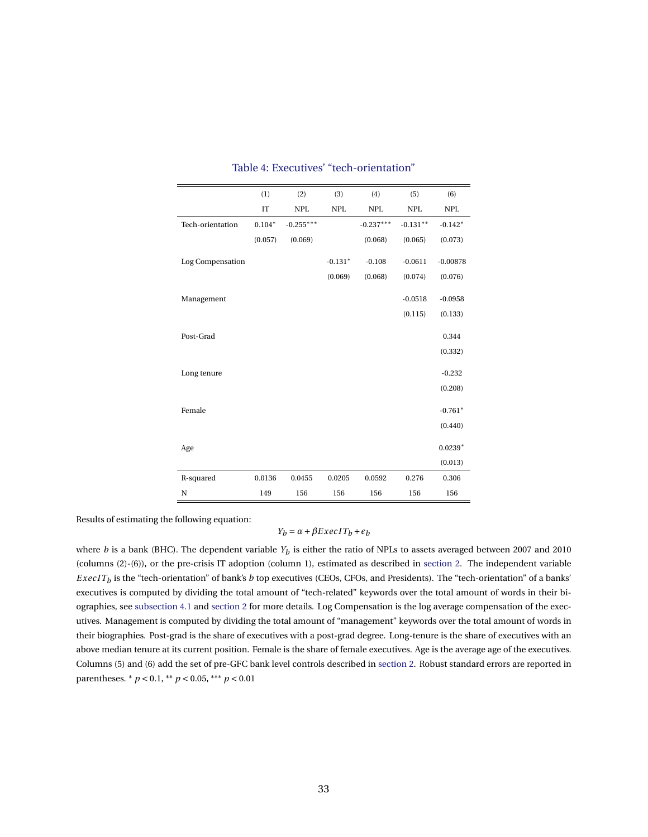<span id="page-33-0"></span>

|                  | (1)      | (2)                       | (3)        | (4)                       | (5)                       | (6)        |
|------------------|----------|---------------------------|------------|---------------------------|---------------------------|------------|
|                  | IT       | $\ensuremath{\text{NPL}}$ | <b>NPL</b> | $\ensuremath{\text{NPL}}$ | $\ensuremath{\text{NPL}}$ | <b>NPL</b> |
| Tech-orientation | $0.104*$ | $-0.255***$               |            | $-0.237***$               | $-0.131**$                | $-0.142*$  |
|                  | (0.057)  | (0.069)                   |            | (0.068)                   | (0.065)                   | (0.073)    |
| Log Compensation |          |                           | $-0.131*$  | $-0.108$                  | $-0.0611$                 | $-0.00878$ |
|                  |          |                           | (0.069)    | (0.068)                   | (0.074)                   | (0.076)    |
|                  |          |                           |            |                           |                           |            |
| Management       |          |                           |            |                           | $-0.0518$                 | $-0.0958$  |
|                  |          |                           |            |                           | (0.115)                   | (0.133)    |
| Post-Grad        |          |                           |            |                           |                           | 0.344      |
|                  |          |                           |            |                           |                           | (0.332)    |
|                  |          |                           |            |                           |                           |            |
| Long tenure      |          |                           |            |                           |                           | $-0.232$   |
|                  |          |                           |            |                           |                           | (0.208)    |
| Female           |          |                           |            |                           |                           | $-0.761*$  |
|                  |          |                           |            |                           |                           | (0.440)    |
|                  |          |                           |            |                           |                           |            |
| Age              |          |                           |            |                           |                           | $0.0239*$  |
|                  |          |                           |            |                           |                           | (0.013)    |
| R-squared        | 0.0136   | 0.0455                    | 0.0205     | 0.0592                    | 0.276                     | 0.306      |
| N                | 149      | 156                       | 156        | 156                       | 156                       | 156        |

# Table 4: Executives' "tech-orientation"

Results of estimating the following equation:

# *Y*<sub>*b*</sub> =  $\alpha$  +  $\beta$ *ExecIT<sub>b</sub>* +  $\epsilon$ <sub>*b*</sub>

where  $b$  is a bank (BHC). The dependent variable  $Y_b$  is either the ratio of NPLs to assets averaged between 2007 and 2010 (columns (2)-(6)), or the pre-crisis IT adoption (column 1), estimated as described in [section 2.](#page-7-0) The independent variable  $\emph{ExecIT}_b$  is the "tech-orientation" of bank's *b* top executives (CEOs, CFOs, and Presidents). The "tech-orientation" of a banks' executives is computed by dividing the total amount of "tech-related" keywords over the total amount of words in their biographies, see [subsection 4.1](#page-16-1) and [section 2](#page-7-0) for more details. Log Compensation is the log average compensation of the executives. Management is computed by dividing the total amount of "management" keywords over the total amount of words in their biographies. Post-grad is the share of executives with a post-grad degree. Long-tenure is the share of executives with an above median tenure at its current position. Female is the share of female executives. Age is the average age of the executives. Columns (5) and (6) add the set of pre-GFC bank level controls described in [section 2.](#page-7-0) Robust standard errors are reported in parentheses. \* *p* < 0.1, \*\* *p* < 0.05, \*\*\* *p* < 0.01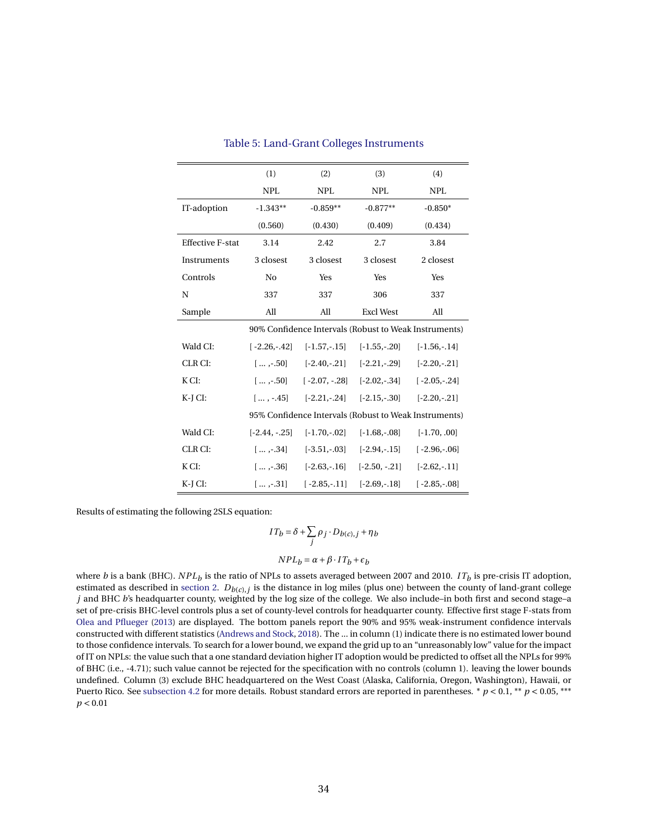<span id="page-34-0"></span>

|                         | (1)              | (2)                                                                                  | (3)                             | (4)            |
|-------------------------|------------------|--------------------------------------------------------------------------------------|---------------------------------|----------------|
|                         | <b>NPL</b>       | <b>NPL</b>                                                                           | <b>NPL</b>                      | <b>NPL</b>     |
| IT-adoption             | $-1.343**$       | $-0.859**$                                                                           | $-0.877**$                      | $-0.850*$      |
|                         | (0.560)          | (0.430)                                                                              | (0.409)                         | (0.434)        |
| <b>Effective F-stat</b> | 3.14             | 2.42                                                                                 | 2.7                             | 3.84           |
| Instruments             | 3 closest        | 3 closest                                                                            | 3 closest                       | 2 closest      |
| Controls                | No               | Yes                                                                                  | Yes                             | Yes            |
| N                       | 337              | 337                                                                                  | 306                             | 337            |
| Sample                  | All              | All                                                                                  | <b>Excl West</b>                | All            |
|                         |                  | 90% Confidence Intervals (Robust to Weak Instruments)                                |                                 |                |
| Wald CI:                |                  | $[-2.26, -42]$ $[-1.57, -15]$ $[-1.55, -20]$                                         |                                 | $[-1.56,-14]$  |
| CLR CI:                 |                  | $\left[\ldots, -0.50\right]$ $\left[-2.40, -0.21\right]$ $\left[-2.21, -0.29\right]$ |                                 | $[-2.20,-.21]$ |
| KCI:                    | $[,-.50]$        |                                                                                      | $[-2.07, -.28]$ $[-2.02, -.34]$ | $[-2.05,-.24]$ |
| K-J CI:                 |                  | $[,-.45]$ $[-2.21,-.24]$ $[-2.15,-.30]$                                              |                                 | $[-2.20,-.21]$ |
|                         |                  | 95% Confidence Intervals (Robust to Weak Instruments)                                |                                 |                |
| Wald CI:                | $[-2.44, -0.25]$ | $[-1.70,-.02]$                                                                       | $[-1.68,-.08]$                  | $[-1.70, .00]$ |
| CLR CI:                 | $1 \dots -34$    |                                                                                      | $[-3.51, -03]$ $[-2.94, -15]$   | $[-2.96,-06]$  |
| K CI:                   | $1 - 36$         | $[-2.63,-16]$                                                                        | $[-2.50, -0.21]$                | $[-2.62,-.11]$ |
| K-J CI:                 |                  | $\lceil \dots, -31 \rceil$ $\lceil -2.85, -11 \rceil$ $\lceil -2.69, -18 \rceil$     |                                 | $[-2.85,-.08]$ |

#### Table 5: Land-Grant Colleges Instruments

Results of estimating the following 2SLS equation:

$$
IT_b=\delta+\sum_j\rho_j\cdot D_{b(c),j}+\eta_b
$$

#### $NPL_b = \alpha + \beta \cdot IT_b + \epsilon_b$

where *b* is a bank (BHC).  $NPL_b$  is the ratio of NPLs to assets averaged between 2007 and 2010. *IT<sub>b</sub>* is pre-crisis IT adoption, estimated as described in [section 2.](#page-7-0) *Db*(*c*),*<sup>j</sup>* is the distance in log miles (plus one) between the county of land-grant college *j* and BHC *b*'s headquarter county, weighted by the log size of the college. We also include–in both first and second stage–a set of pre-crisis BHC-level controls plus a set of county-level controls for headquarter county. Effective first stage F-stats from [Olea and Pflueger](#page-26-17) [\(2013\)](#page-26-17) are displayed. The bottom panels report the 90% and 95% weak-instrument confidence intervals constructed with different statistics [\(Andrews and Stock,](#page-24-6) [2018\)](#page-24-6). The ... in column (1) indicate there is no estimated lower bound to those confidence intervals. To search for a lower bound, we expand the grid up to an "unreasonably low" value for the impact of IT on NPLs: the value such that a one standard deviation higher IT adoption would be predicted to offset all the NPLs for 99% of BHC (i.e., -4.71); such value cannot be rejected for the specification with no controls (column 1). leaving the lower bounds undefined. Column (3) exclude BHC headquartered on the West Coast (Alaska, California, Oregon, Washington), Hawaii, or Puerto Rico. See [subsection 4.2](#page-18-2) for more details. Robust standard errors are reported in parentheses.  $p < 0.1$ ,  $\ast p < 0.05$ ,  $\ast \ast p$ *p* < 0.01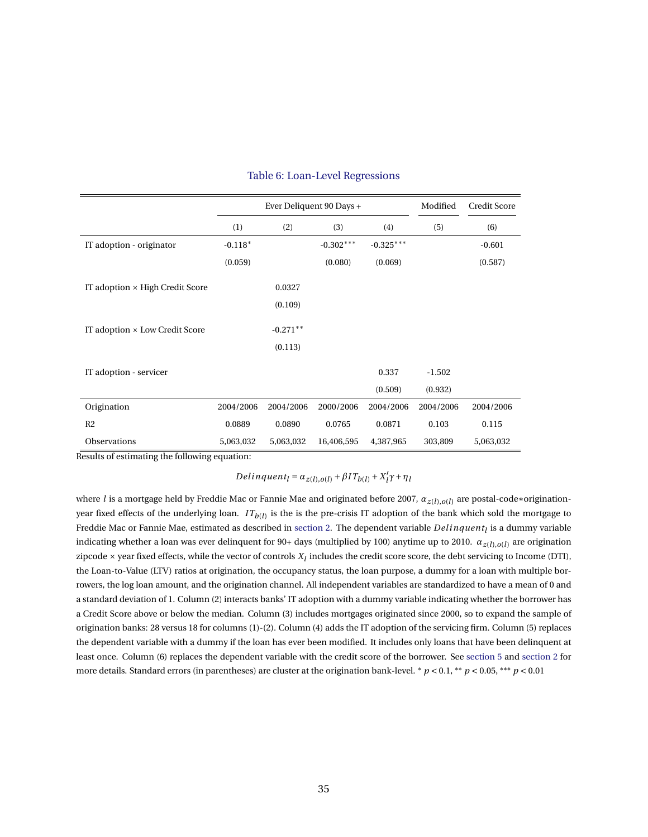<span id="page-35-0"></span>

|                                        |           | Ever Deliquent 90 Days + |             | Modified    | Credit Score |           |
|----------------------------------------|-----------|--------------------------|-------------|-------------|--------------|-----------|
|                                        | (1)       | (2)                      | (3)         | (4)         | (5)          | (6)       |
| IT adoption - originator               | $-0.118*$ |                          | $-0.302***$ | $-0.325***$ |              | $-0.601$  |
|                                        | (0.059)   |                          | (0.080)     | (0.069)     |              | (0.587)   |
| IT adoption $\times$ High Credit Score |           | 0.0327                   |             |             |              |           |
|                                        |           | (0.109)                  |             |             |              |           |
| IT adoption × Low Credit Score         |           | $-0.271**$               |             |             |              |           |
|                                        |           | (0.113)                  |             |             |              |           |
| IT adoption - servicer                 |           |                          |             | 0.337       | $-1.502$     |           |
|                                        |           |                          |             | (0.509)     | (0.932)      |           |
| Origination                            | 2004/2006 | 2004/2006                | 2000/2006   | 2004/2006   | 2004/2006    | 2004/2006 |
| R <sub>2</sub>                         | 0.0889    | 0.0890                   | 0.0765      | 0.0871      | 0.103        | 0.115     |
| <b>Observations</b>                    | 5,063,032 | 5,063,032                | 16,406,595  | 4,387,965   | 303,809      | 5,063,032 |

#### Table 6: Loan-Level Regressions

Results of estimating the following equation:

*Delinquent*<sub>*l*</sub> =  $\alpha_{z(l),o(l)} + \beta I T_{b(l)} + X_{l}^{\prime}$ *l <sup>γ</sup>*+*η<sup>l</sup>*

where *<sup>l</sup>* is a mortgage held by Freddie Mac or Fannie Mae and originated before 2007, *<sup>α</sup>z*(*l*),*o*(*l*) are postal-code∗originationyear fixed effects of the underlying loan. *I Tb*(*l*) is the is the pre-crisis IT adoption of the bank which sold the mortgage to Freddie Mac or Fannie Mae, estimated as described in [section 2.](#page-7-0) The dependent variable *Del inquent<sup>l</sup>* is a dummy variable indicating whether a loan was ever delinquent for 90+ days (multiplied by 100) anytime up to 2010. *αz*(*l*),*o*(*l*) are origination zipcode  $\times$  year fixed effects, while the vector of controls  $X_l$  includes the credit score score, the debt servicing to Income (DTI), the Loan-to-Value (LTV) ratios at origination, the occupancy status, the loan purpose, a dummy for a loan with multiple borrowers, the log loan amount, and the origination channel. All independent variables are standardized to have a mean of 0 and a standard deviation of 1. Column (2) interacts banks' IT adoption with a dummy variable indicating whether the borrower has a Credit Score above or below the median. Column (3) includes mortgages originated since 2000, so to expand the sample of origination banks: 28 versus 18 for columns (1)-(2). Column (4) adds the IT adoption of the servicing firm. Column (5) replaces the dependent variable with a dummy if the loan has ever been modified. It includes only loans that have been delinquent at least once. Column (6) replaces the dependent variable with the credit score of the borrower. See [section 5](#page-20-0) and [section 2](#page-7-0) for more details. Standard errors (in parentheses) are cluster at the origination bank-level. \*  $p < 0.1$ , \*\*  $p < 0.05$ , \*\*\*  $p < 0.01$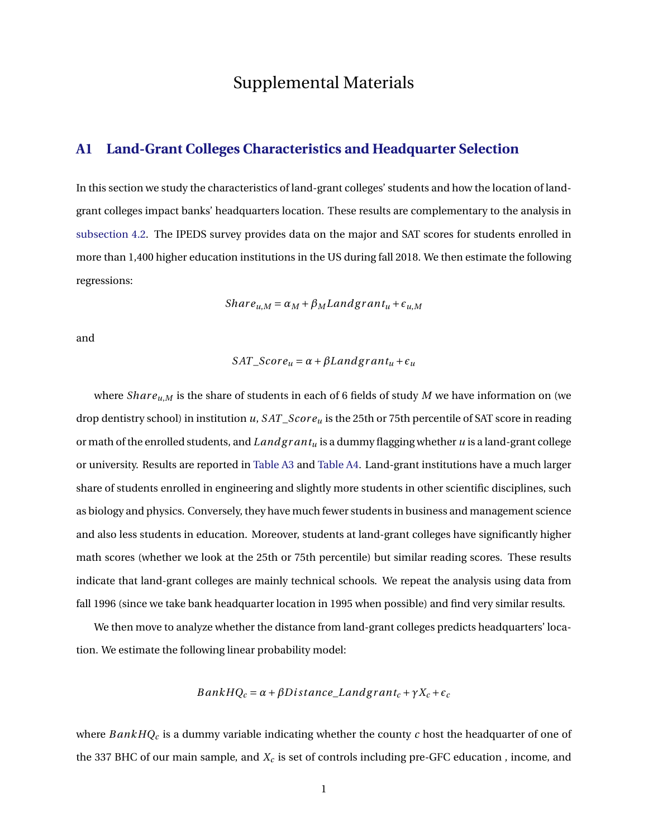# Supplemental Materials

# **A1 Land-Grant Colleges Characteristics and Headquarter Selection**

In this section we study the characteristics of land-grant colleges' students and how the location of landgrant colleges impact banks' headquarters location. These results are complementary to the analysis in [subsection 4.2.](#page-18-2) The IPEDS survey provides data on the major and SAT scores for students enrolled in more than 1,400 higher education institutions in the US during fall 2018. We then estimate the following regressions:

$$
Share_{u,M} = \alpha_M + \beta_M Landgrant_u + \epsilon_{u,M}
$$

and

$$
SAT\_Score_u = \alpha + \beta Landgrant_u + \epsilon_u
$$

where *Share*<sub>*u*,*M*</sub> is the share of students in each of 6 fields of study *M* we have information on (we drop dentistry school) in institution *u*, *SAT\_Score*<sub>*u*</sub> is the 25th or 75th percentile of SAT score in reading or math of the enrolled students, and *Landg r ant<sup>u</sup>* is a dummy flagging whether *u* is a land-grant college or university. Results are reported in [Table A3](#page-32-1) and [Table A4.](#page-33-0) Land-grant institutions have a much larger share of students enrolled in engineering and slightly more students in other scientific disciplines, such as biology and physics. Conversely, they have much fewer students in business and management science and also less students in education. Moreover, students at land-grant colleges have significantly higher math scores (whether we look at the 25th or 75th percentile) but similar reading scores. These results indicate that land-grant colleges are mainly technical schools. We repeat the analysis using data from fall 1996 (since we take bank headquarter location in 1995 when possible) and find very similar results.

We then move to analyze whether the distance from land-grant colleges predicts headquarters' location. We estimate the following linear probability model:

$$
BankHQ_c = \alpha + \beta Distance\_Landgrant_c + \gamma X_c + \epsilon_c
$$

where *B ankHQ<sup>c</sup>* is a dummy variable indicating whether the county *c* host the headquarter of one of the 337 BHC of our main sample, and *X<sup>c</sup>* is set of controls including pre-GFC education , income, and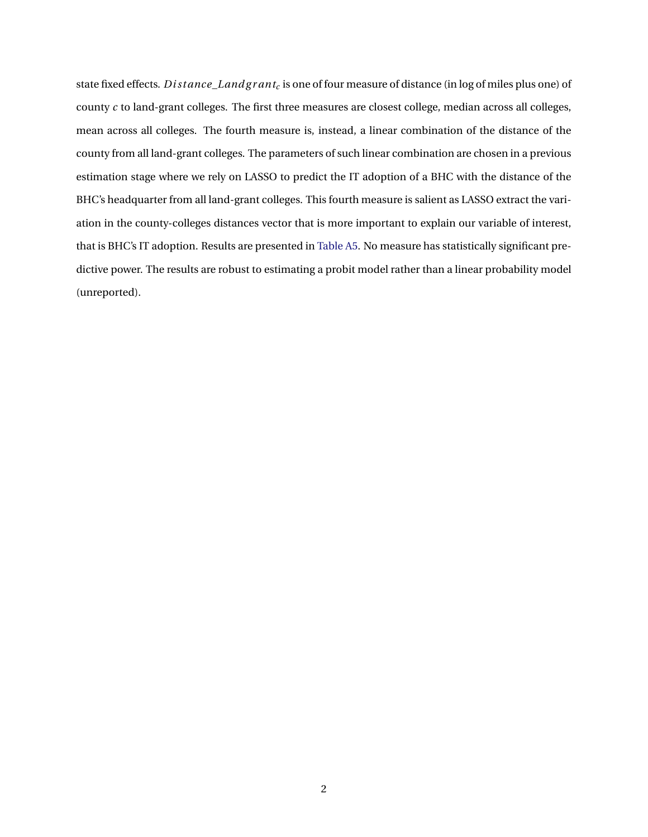state fixed effects. *D i st ance*\_*Landg r ant<sup>c</sup>* is one of four measure of distance (in log of miles plus one) of county *c* to land-grant colleges. The first three measures are closest college, median across all colleges, mean across all colleges. The fourth measure is, instead, a linear combination of the distance of the county from all land-grant colleges. The parameters of such linear combination are chosen in a previous estimation stage where we rely on LASSO to predict the IT adoption of a BHC with the distance of the BHC's headquarter from all land-grant colleges. This fourth measure is salient as LASSO extract the variation in the county-colleges distances vector that is more important to explain our variable of interest, that is BHC's IT adoption. Results are presented in [Table A5.](#page-34-0) No measure has statistically significant predictive power. The results are robust to estimating a probit model rather than a linear probability model (unreported).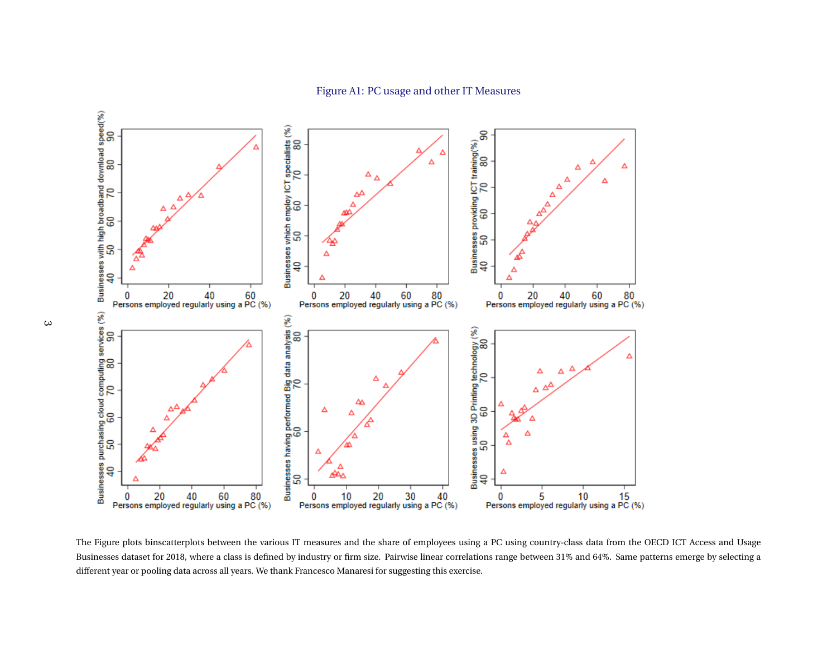

The Figure plots binscatterplots between the various IT measures and the share of employees using <sup>a</sup> PC using country-class data from the OECD ICT Access and Usage Businesses dataset for 2018, where <sup>a</sup> class is defined by industry or firm size. Pairwise linear correlations range between 31% and 64%. Same patterns emerge by selecting <sup>a</sup>different year or pooling data across all years. We thank Francesco Manaresi for suggesting this exercise.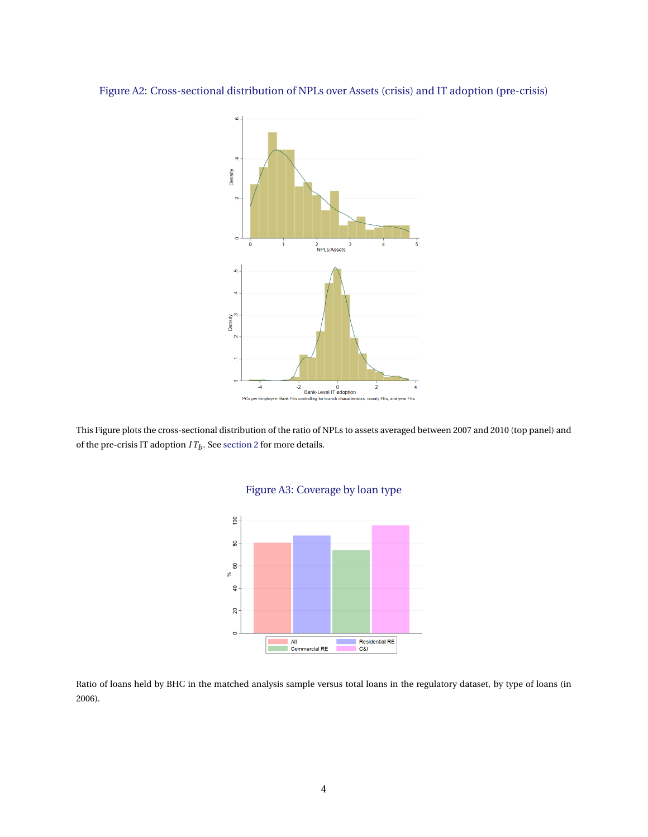

# Figure A2: Cross-sectional distribution of NPLs over Assets (crisis) and IT adoption (pre-crisis)

This Figure plots the cross-sectional distribution of the ratio of NPLs to assets averaged between 2007 and 2010 (top panel) and of the pre-crisis IT adoption  $IT_b$ . See [section 2](#page-7-0) for more details.



# Figure A3: Coverage by loan type

Ratio of loans held by BHC in the matched analysis sample versus total loans in the regulatory dataset, by type of loans (in 2006).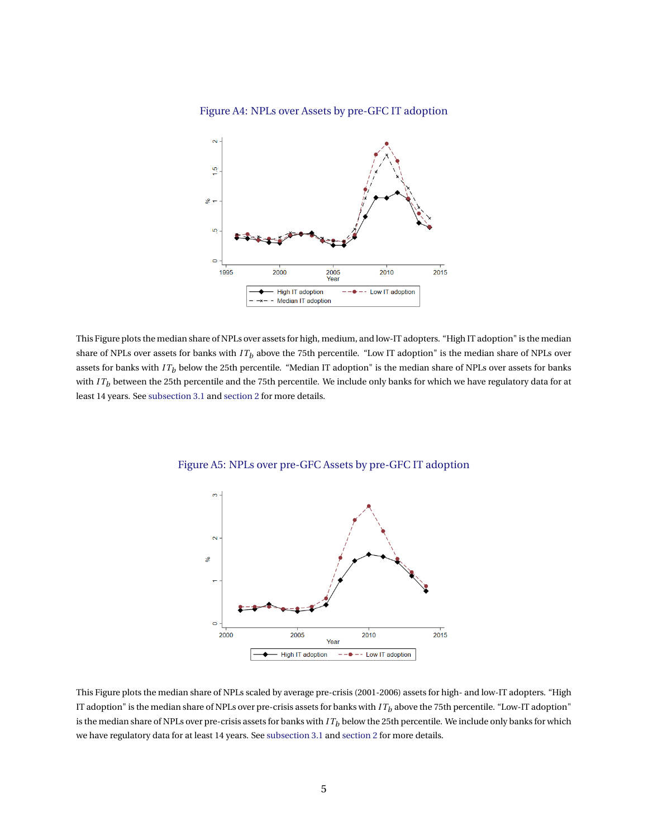



This Figure plots the median share of NPLs over assets for high, medium, and low-IT adopters. "High IT adoption" is the median share of NPLs over assets for banks with  $IT<sub>b</sub>$  above the 75th percentile. "Low IT adoption" is the median share of NPLs over assets for banks with  $IT<sub>b</sub>$  below the 25th percentile. "Median IT adoption" is the median share of NPLs over assets for banks with *IT<sub>b</sub>* between the 25th percentile and the 75th percentile. We include only banks for which we have regulatory data for at least 14 years. See [subsection 3.1](#page-11-2) and [section 2](#page-7-0) for more details.



<span id="page-40-0"></span>Figure A5: NPLs over pre-GFC Assets by pre-GFC IT adoption

This Figure plots the median share of NPLs scaled by average pre-crisis (2001-2006) assets for high- and low-IT adopters. "High IT adoption" is the median share of NPLs over pre-crisis assets for banks with *I T<sup>b</sup>* above the 75th percentile. "Low-IT adoption" is the median share of NPLs over pre-crisis assets for banks with *I T<sup>b</sup>* below the 25th percentile. We include only banks for which we have regulatory data for at least 14 years. See [subsection 3.1](#page-11-2) and [section 2](#page-7-0) for more details.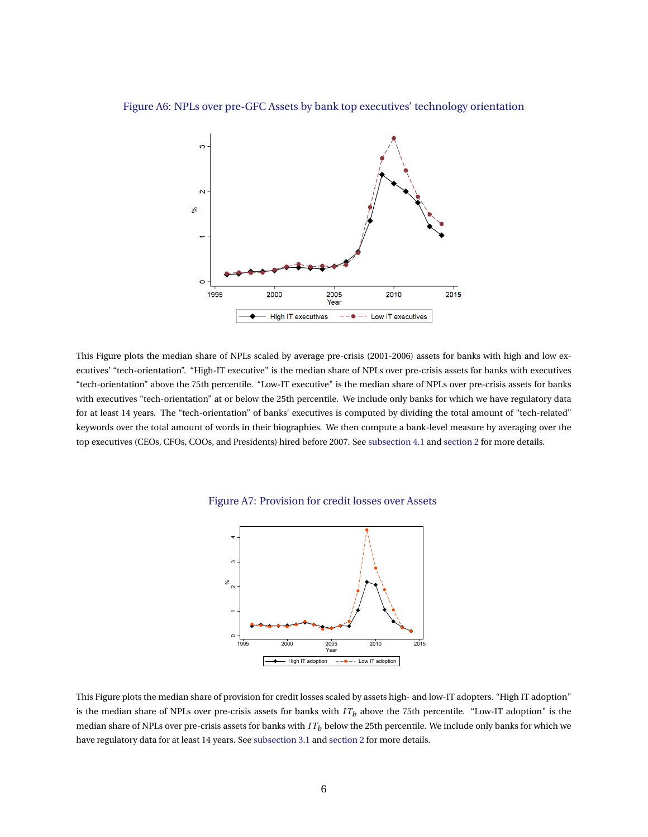

<span id="page-41-0"></span>Figure A6: NPLs over pre-GFC Assets by bank top executives' technology orientation

This Figure plots the median share of NPLs scaled by average pre-crisis (2001-2006) assets for banks with high and low executives' "tech-orientation". "High-IT executive" is the median share of NPLs over pre-crisis assets for banks with executives "tech-orientation" above the 75th percentile. "Low-IT executive" is the median share of NPLs over pre-crisis assets for banks with executives "tech-orientation" at or below the 25th percentile. We include only banks for which we have regulatory data for at least 14 years. The "tech-orientation" of banks' executives is computed by dividing the total amount of "tech-related" keywords over the total amount of words in their biographies. We then compute a bank-level measure by averaging over the top executives (CEOs, CFOs, COOs, and Presidents) hired before 2007. See [subsection 4.1](#page-16-1) and [section 2](#page-7-0) for more details.





This Figure plots the median share of provision for credit losses scaled by assets high- and low-IT adopters. "High IT adoption" is the median share of NPLs over pre-crisis assets for banks with *I T<sup>b</sup>* above the 75th percentile. "Low-IT adoption" is the median share of NPLs over pre-crisis assets for banks with *I T<sup>b</sup>* below the 25th percentile. We include only banks for which we have regulatory data for at least 14 years. See [subsection 3.1](#page-11-2) and [section 2](#page-7-0) for more details.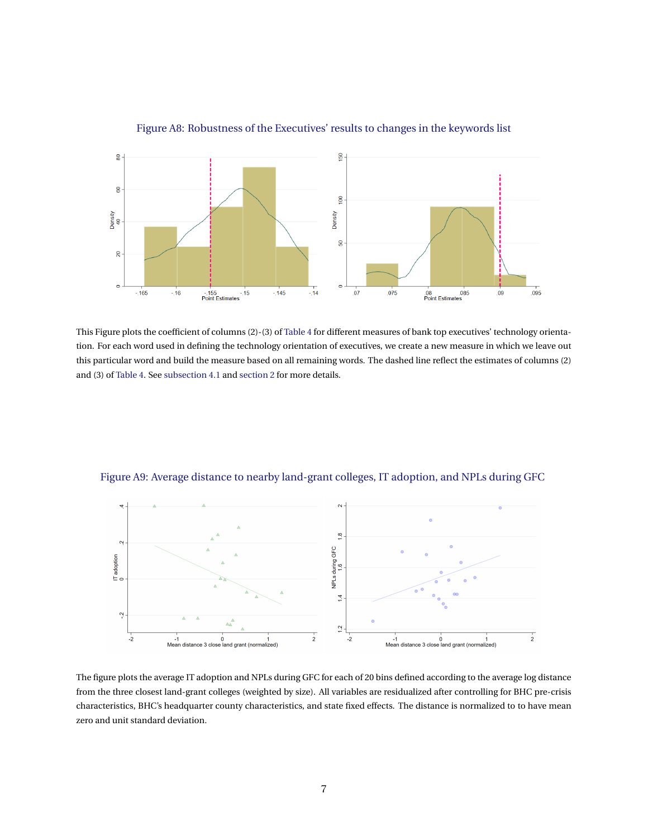

# Figure A8: Robustness of the Executives' results to changes in the keywords list

This Figure plots the coefficient of columns (2)-(3) of [Table 4](#page-33-0) for different measures of bank top executives' technology orientation. For each word used in defining the technology orientation of executives, we create a new measure in which we leave out this particular word and build the measure based on all remaining words. The dashed line reflect the estimates of columns (2) and (3) of [Table 4.](#page-33-0) See [subsection 4.1](#page-16-1) and [section 2](#page-7-0) for more details.



<span id="page-42-0"></span>Figure A9: Average distance to nearby land-grant colleges, IT adoption, and NPLs during GFC

The figure plots the average IT adoption and NPLs during GFC for each of 20 bins defined according to the average log distance from the three closest land-grant colleges (weighted by size). All variables are residualized after controlling for BHC pre-crisis characteristics, BHC's headquarter county characteristics, and state fixed effects. The distance is normalized to to have mean zero and unit standard deviation.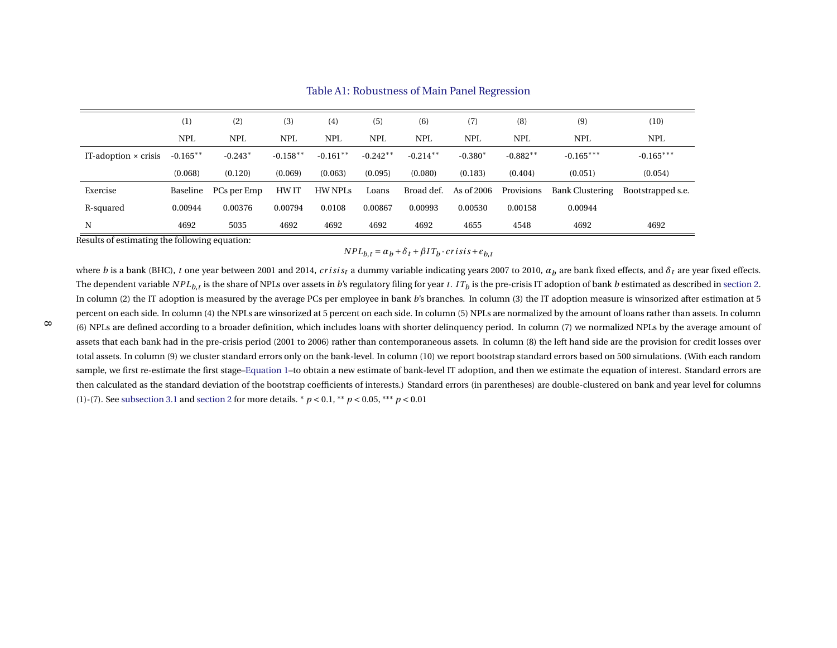|                             | (1)        | (2)         | (3)        | (4)        | (5)        | (6)        | (7)        | (8)        | (9)                    | (10)              |
|-----------------------------|------------|-------------|------------|------------|------------|------------|------------|------------|------------------------|-------------------|
|                             | <b>NPL</b> | <b>NPL</b>  | <b>NPL</b> | <b>NPL</b> | <b>NPL</b> | <b>NPL</b> | <b>NPL</b> | <b>NPL</b> | <b>NPL</b>             | <b>NPL</b>        |
| IT-adoption $\times$ crisis | $-0.165**$ | $-0.243*$   | $-0.158**$ | $-0.161**$ | $-0.242**$ | $-0.214**$ | $-0.380*$  | $-0.882**$ | $-0.165***$            | $-0.165***$       |
|                             | (0.068)    | (0.120)     | (0.069)    | (0.063)    | (0.095)    | (0.080)    | (0.183)    | (0.404)    | (0.051)                | (0.054)           |
| Exercise                    | Baseline   | PCs per Emp | HW IT      | HW NPLs    | Loans      | Broad def. | As of 2006 | Provisions | <b>Bank Clustering</b> | Bootstrapped s.e. |
| R-squared                   | 0.00944    | 0.00376     | 0.00794    | 0.0108     | 0.00867    | 0.00993    | 0.00530    | 0.00158    | 0.00944                |                   |
| N                           | 4692       | 5035        | 4692       | 4692       | 4692       | 4692       | 4655       | 4548       | 4692                   | 4692              |

Table A1: Robustness of Main Panel Regression

Results of estimating the following equation:

# $NPL_{b,t} = \alpha_b + \delta_t + \beta IT_b \cdot crisis + \epsilon_{b,t}$

where  $b$  is a bank (BHC),  $t$  one year between 2001 and 2014,  $crisis_t$  a dummy variable indicating years 2007 to 2010,  $a_b$  are bank fixed effects, and  $\delta_t$  are year fixed effects. The dependent variable  $NPL_{b,t}$  is the share of NPLs over assets in  $b$ 's regulatory filing for year  $t.$  IT $_b$  is the pre-crisis IT adoption of bank  $b$  estimated as described in [section](#page-7-1) 2. In column (2) the IT adoption is measured by the average PCs per employee in bank *<sup>b</sup>*'s branches. In column (3) the IT adoption measure is winsorized after estimation at <sup>5</sup>percent on each side. In column (4) the NPLs are winsorized at <sup>5</sup> percent on each side. In column (5) NPLs are normalized by the amount of loans rather than assets. In column(6) NPLs are defined according to <sup>a</sup> broader definition, which includes loans with shorter delinquency period. In column (7) we normalized NPLs by the average amount ofassets that each bank had in the pre-crisis period (2001 to 2006) rather than contemporaneous assets. In column (8) the left hand side are the provision for credit losses overtotal assets. In column (9) we cluster standard errors only on the bank-level. In column (10) we report bootstrap standard errors based on 500 simulations. (With each random sample, we first re-estimate the first stage[–Equation](#page-8-0) 1–to obtain <sup>a</sup> new estimate of bank-level IT adoption, and then we estimate the equation of interest. Standard errors arethen calculated as the standard deviation of the bootstrap coefficients of interests.) Standard errors (in parentheses) are double-clustered on bank and year level for columns(1)-(7). See [subsection](#page-11-3) 3.1 and [section](#page-7-1) <sup>2</sup> for more details. \* *<sup>p</sup>* <sup>&</sup>lt; 0.1, \*\* *<sup>p</sup>* <sup>&</sup>lt; 0.05, \*\*\* *<sup>p</sup>* <sup>&</sup>lt; 0.01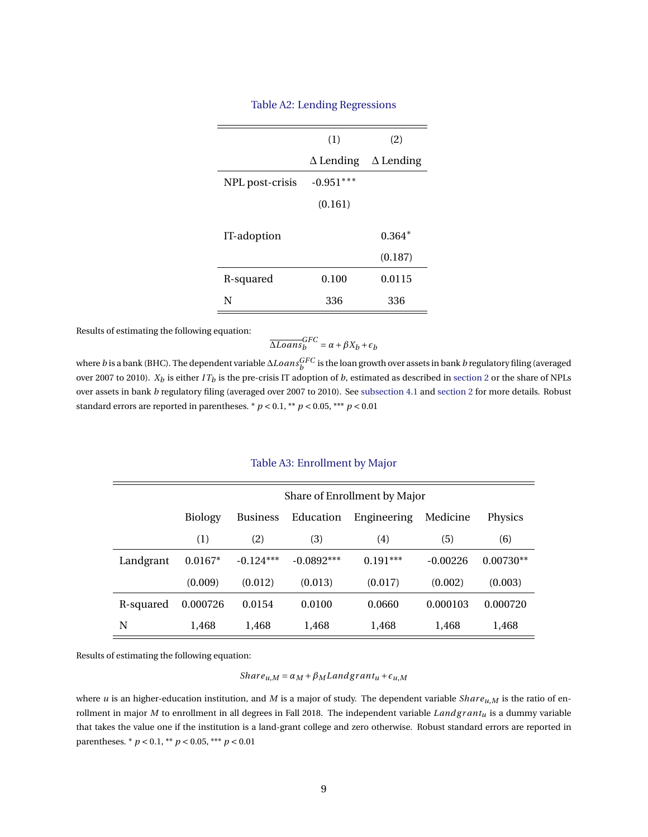| (1)              | (2)              |
|------------------|------------------|
| $\Delta$ Lending | $\Delta$ Lending |
| $-0.951***$      |                  |
| (0.161)          |                  |
|                  | $0.364*$         |
|                  | (0.187)          |
| 0.100            | 0.0115           |
| 336              | 336              |
|                  |                  |

## Table A2: Lending Regressions

Results of estimating the following equation:

$$
\overline{\Delta Loans_b}^{GFC} = \alpha + \beta X_b + \epsilon_b
$$

where *b* is a bank (BHC). The dependent variable ∆*LoansGFC b* is the loan growth over assets in bank *b* regulatory filing (averaged over 2007 to 2010).  $X_b$  is either *IT<sub>b</sub>* is the pre-crisis IT adoption of *b*, estimated as described in [section 2](#page-7-0) or the share of NPLs over assets in bank *b* regulatory filing (averaged over 2007 to 2010). See [subsection 4.1](#page-16-1) and [section 2](#page-7-0) for more details. Robust standard errors are reported in parentheses.  $p < 0.1$ ,  $\binom{1}{k}$   $p < 0.05$ ,  $\binom{1}{k}$   $p < 0.01$ 

|           | Share of Enrollment by Major |                 |              |             |            |             |  |  |  |
|-----------|------------------------------|-----------------|--------------|-------------|------------|-------------|--|--|--|
|           | <b>Biology</b>               | <b>Business</b> | Education    | Engineering | Medicine   | Physics     |  |  |  |
|           | (1)                          | (2)             | (3)          | (4)         | (5)        | (6)         |  |  |  |
| Landgrant | $0.0167*$                    | $-0.124***$     | $-0.0892***$ | $0.191***$  | $-0.00226$ | $0.00730**$ |  |  |  |
|           | (0.009)                      | (0.012)         | (0.013)      | (0.017)     | (0.002)    | (0.003)     |  |  |  |
| R-squared | 0.000726                     | 0.0154          | 0.0100       | 0.0660      | 0.000103   | 0.000720    |  |  |  |
| N         | 1,468                        | 1.468           | 1,468        | 1,468       | 1,468      | 1,468       |  |  |  |

## Table A3: Enrollment by Major

Results of estimating the following equation:

*Share*<sub>*u*</sub>,*M* =  $\alpha$ <sub>*M*</sub> +  $\beta$ <sub>*M*</sub> *Landgrant*<sub>*u*</sub> +  $\epsilon$ <sub>*u*</sub>*M* 

where *u* is an higher-education institution, and *M* is a major of study. The dependent variable *Shar eu*,*M* is the ratio of enrollment in major  $M$  to enrollment in all degrees in Fall 2018. The independent variable  $Land grant<sub>u</sub>$  is a dummy variable that takes the value one if the institution is a land-grant college and zero otherwise. Robust standard errors are reported in parentheses.  $* p < 0.1, ** p < 0.05, ** p < 0.01$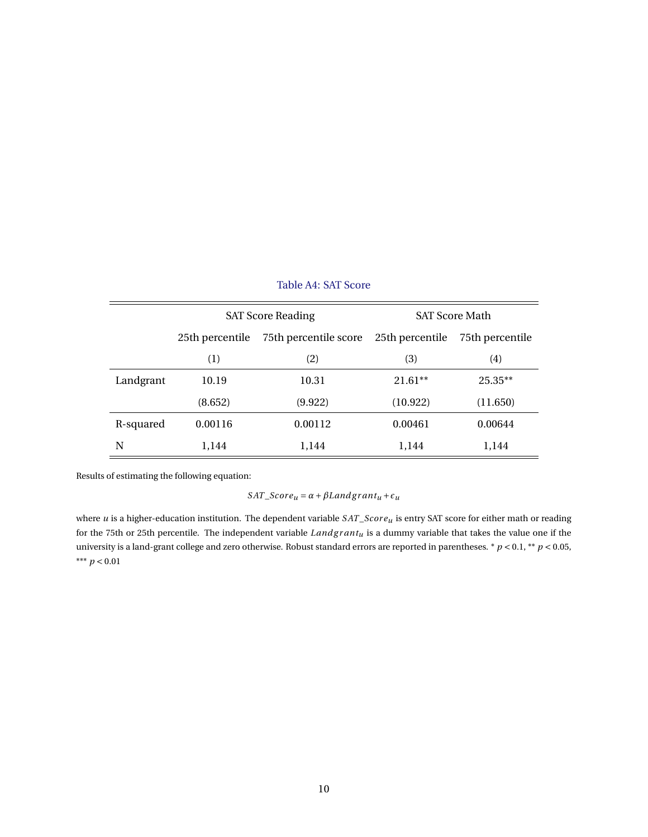|           |                 | <b>SAT Score Reading</b>                 | <b>SAT Score Math</b> |                 |  |
|-----------|-----------------|------------------------------------------|-----------------------|-----------------|--|
|           | 25th percentile | 75th percentile score<br>25th percentile |                       | 75th percentile |  |
|           | (1)             | (2)                                      | (3)                   | (4)             |  |
| Landgrant | 10.19           | 10.31                                    | $21.61**$             | $25.35**$       |  |
|           | (8.652)         | (9.922)                                  | (10.922)              | (11.650)        |  |
| R-squared | 0.00116         | 0.00112                                  | 0.00461               | 0.00644         |  |
| N         | 1,144           | 1,144                                    | 1,144                 | 1,144           |  |

# Table A4: SAT Score

Results of estimating the following equation:

 $SAT\_Score_u = \alpha + \beta Landgrant_u + \epsilon_u$ 

where *u* is a higher-education institution. The dependent variable  $SAT\_Score_u$  is entry SAT score for either math or reading for the 75th or 25th percentile. The independent variable *Landg r antu* is a dummy variable that takes the value one if the university is a land-grant college and zero otherwise. Robust standard errors are reported in parentheses. \* *p* < 0.1, \*\* *p* < 0.05, \*\*\* *p* < 0.01